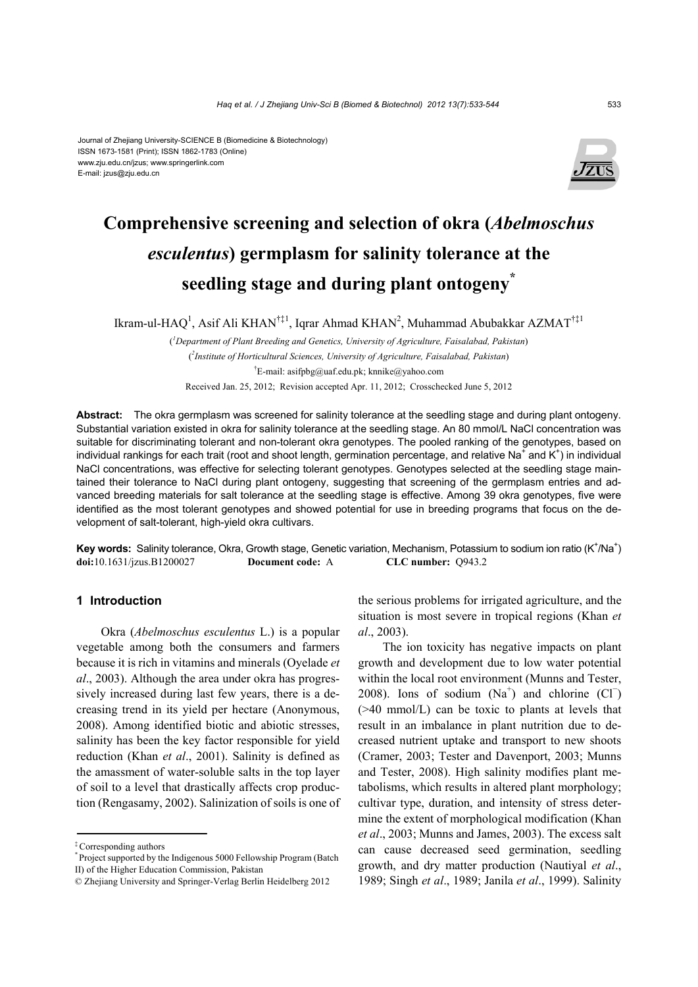#### Journal of Zhejiang University-SCIENCE B (Biomedicine & Biotechnology) ISSN 1673-1581 (Print); ISSN 1862-1783 (Online) www.zju.edu.cn/jzus; www.springerlink.com E-mail: jzus@zju.edu.cn



# **Comprehensive screening and selection of okra (***Abelmoschus esculentus***) germplasm for salinity tolerance at the seedling stage and during plant ontogeny\***

Ikram-ul-HAQ<sup>1</sup>, Asif Ali KHAN<sup>†‡1</sup>, Iqrar Ahmad KHAN<sup>2</sup>, Muhammad Abubakkar AZMAT<sup>†‡1</sup>

( *1 Department of Plant Breeding and Genetics, University of Agriculture, Faisalabad, Pakistan*) ( *2 Institute of Horticultural Sciences, University of Agriculture, Faisalabad, Pakistan*) † E-mail: asifpbg@uaf.edu.pk; knnike@yahoo.com Received Jan. 25, 2012; Revision accepted Apr. 11, 2012; Crosschecked June 5, 2012

**Abstract:** The okra germplasm was screened for salinity tolerance at the seedling stage and during plant ontogeny. Substantial variation existed in okra for salinity tolerance at the seedling stage. An 80 mmol/L NaCl concentration was suitable for discriminating tolerant and non-tolerant okra genotypes. The pooled ranking of the genotypes, based on individual rankings for each trait (root and shoot length, germination percentage, and relative Na<sup>+</sup> and K<sup>+</sup>) in individual NaCl concentrations, was effective for selecting tolerant genotypes. Genotypes selected at the seedling stage maintained their tolerance to NaCl during plant ontogeny, suggesting that screening of the germplasm entries and advanced breeding materials for salt tolerance at the seedling stage is effective. Among 39 okra genotypes, five were identified as the most tolerant genotypes and showed potential for use in breeding programs that focus on the development of salt-tolerant, high-yield okra cultivars.

Key words: Salinity tolerance, Okra, Growth stage, Genetic variation, Mechanism, Potassium to sodium ion ratio (K<sup>+</sup>/Na<sup>+</sup>) **doi:**10.1631/jzus.B1200027 **Document code:** A **CLC number:** Q943.2

## **1 Introduction**

Okra (*Abelmoschus esculentus* L.) is a popular vegetable among both the consumers and farmers because it is rich in vitamins and minerals (Oyelade *et al*., 2003). Although the area under okra has progressively increased during last few years, there is a decreasing trend in its yield per hectare (Anonymous, 2008). Among identified biotic and abiotic stresses, salinity has been the key factor responsible for yield reduction (Khan *et al*., 2001). Salinity is defined as the amassment of water-soluble salts in the top layer of soil to a level that drastically affects crop production (Rengasamy, 2002). Salinization of soils is one of the serious problems for irrigated agriculture, and the situation is most severe in tropical regions (Khan *et al*., 2003).

The ion toxicity has negative impacts on plant growth and development due to low water potential within the local root environment (Munns and Tester, 2008). Ions of sodium  $(Na^+)$  and chlorine  $(CI^-)$ (>40 mmol/L) can be toxic to plants at levels that result in an imbalance in plant nutrition due to decreased nutrient uptake and transport to new shoots (Cramer, 2003; Tester and Davenport, 2003; Munns and Tester, 2008). High salinity modifies plant metabolisms, which results in altered plant morphology; cultivar type, duration, and intensity of stress determine the extent of morphological modification (Khan *et al*., 2003; Munns and James, 2003). The excess salt can cause decreased seed germination, seedling growth, and dry matter production (Nautiyal *et al*., 1989; Singh *et al*., 1989; Janila *et al*., 1999). Salinity

<sup>‡</sup> Corresponding authors

<sup>\*</sup> Project supported by the Indigenous 5000 Fellowship Program (Batch II) of the Higher Education Commission, Pakistan

<sup>©</sup> Zhejiang University and Springer-Verlag Berlin Heidelberg 2012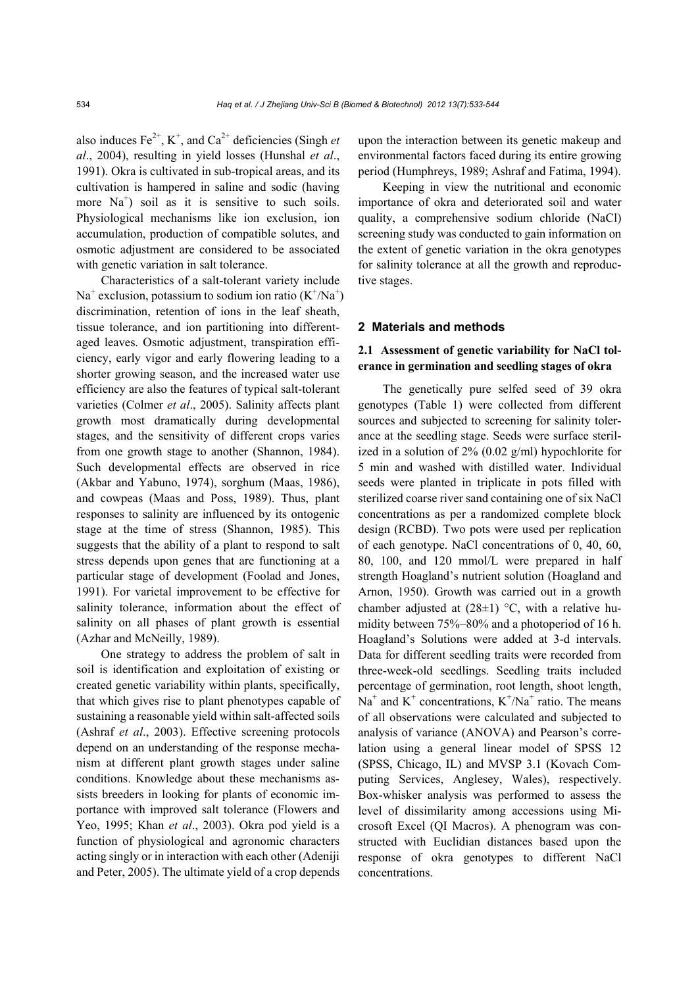also induces  $Fe^{2+}$ , K<sup>+</sup>, and Ca<sup>2+</sup> deficiencies (Singh *et al*., 2004), resulting in yield losses (Hunshal *et al*., 1991). Okra is cultivated in sub-tropical areas, and its cultivation is hampered in saline and sodic (having more  $Na<sup>+</sup>$  soil as it is sensitive to such soils. Physiological mechanisms like ion exclusion, ion accumulation, production of compatible solutes, and osmotic adjustment are considered to be associated with genetic variation in salt tolerance.

Characteristics of a salt-tolerant variety include  $Na<sup>+</sup>$  exclusion, potassium to sodium ion ratio  $(K<sup>+</sup>/Na<sup>+</sup>)$ discrimination, retention of ions in the leaf sheath, tissue tolerance, and ion partitioning into differentaged leaves. Osmotic adjustment, transpiration efficiency, early vigor and early flowering leading to a shorter growing season, and the increased water use efficiency are also the features of typical salt-tolerant varieties (Colmer *et al*., 2005). Salinity affects plant growth most dramatically during developmental stages, and the sensitivity of different crops varies from one growth stage to another (Shannon, 1984). Such developmental effects are observed in rice (Akbar and Yabuno, 1974), sorghum (Maas, 1986), and cowpeas (Maas and Poss, 1989). Thus, plant responses to salinity are influenced by its ontogenic stage at the time of stress (Shannon, 1985). This suggests that the ability of a plant to respond to salt stress depends upon genes that are functioning at a particular stage of development (Foolad and Jones, 1991). For varietal improvement to be effective for salinity tolerance, information about the effect of salinity on all phases of plant growth is essential (Azhar and McNeilly, 1989).

One strategy to address the problem of salt in soil is identification and exploitation of existing or created genetic variability within plants, specifically, that which gives rise to plant phenotypes capable of sustaining a reasonable yield within salt-affected soils (Ashraf *et al*., 2003). Effective screening protocols depend on an understanding of the response mechanism at different plant growth stages under saline conditions. Knowledge about these mechanisms assists breeders in looking for plants of economic importance with improved salt tolerance (Flowers and Yeo, 1995; Khan *et al*., 2003). Okra pod yield is a function of physiological and agronomic characters acting singly or in interaction with each other (Adeniji and Peter, 2005). The ultimate yield of a crop depends

upon the interaction between its genetic makeup and environmental factors faced during its entire growing period (Humphreys, 1989; Ashraf and Fatima, 1994).

Keeping in view the nutritional and economic importance of okra and deteriorated soil and water quality, a comprehensive sodium chloride (NaCl) screening study was conducted to gain information on the extent of genetic variation in the okra genotypes for salinity tolerance at all the growth and reproductive stages.

### **2 Materials and methods**

### **2.1 Assessment of genetic variability for NaCl tolerance in germination and seedling stages of okra**

The genetically pure selfed seed of 39 okra genotypes (Table 1) were collected from different sources and subjected to screening for salinity tolerance at the seedling stage. Seeds were surface sterilized in a solution of 2% (0.02 g/ml) hypochlorite for 5 min and washed with distilled water. Individual seeds were planted in triplicate in pots filled with sterilized coarse river sand containing one of six NaCl concentrations as per a randomized complete block design (RCBD). Two pots were used per replication of each genotype. NaCl concentrations of 0, 40, 60, 80, 100, and 120 mmol/L were prepared in half strength Hoagland's nutrient solution (Hoagland and Arnon, 1950). Growth was carried out in a growth chamber adjusted at  $(28\pm1)$  °C, with a relative humidity between 75%–80% and a photoperiod of 16 h. Hoagland's Solutions were added at 3-d intervals. Data for different seedling traits were recorded from three-week-old seedlings. Seedling traits included percentage of germination, root length, shoot length,  $Na<sup>+</sup>$  and  $K<sup>+</sup>$  concentrations,  $K<sup>+</sup>/Na<sup>+</sup>$  ratio. The means of all observations were calculated and subjected to analysis of variance (ANOVA) and Pearson's correlation using a general linear model of SPSS 12 (SPSS, Chicago, IL) and MVSP 3.1 (Kovach Computing Services, Anglesey, Wales), respectively. Box-whisker analysis was performed to assess the level of dissimilarity among accessions using Microsoft Excel (QI Macros). A phenogram was constructed with Euclidian distances based upon the response of okra genotypes to different NaCl concentrations.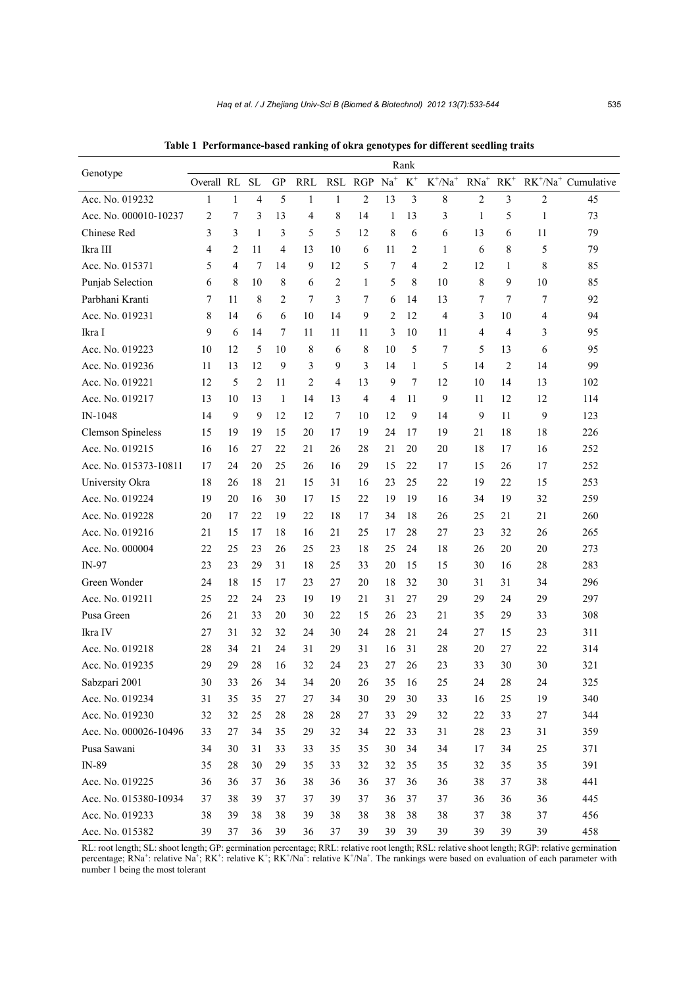|                          | Rank       |                |           |                |            |                      |                |       |              |            |                  |        |                |                                        |
|--------------------------|------------|----------------|-----------|----------------|------------|----------------------|----------------|-------|--------------|------------|------------------|--------|----------------|----------------------------------------|
| Genotype                 | Overall RL |                | <b>SL</b> | <b>GP</b>      | <b>RRL</b> | $\operatorname{RSL}$ | RGP            | $Na+$ | $\mbox{K}^+$ | $K^+/Na^+$ | $\mathrm{RNa}^+$ | $RK^+$ |                | $RK^{\dagger}/Na^{\dagger}$ Cumulative |
| Acc. No. 019232          | 1          | 1              | 4         | 5              | 1          | 1                    | $\overline{2}$ | 13    | 3            | 8          | $\overline{c}$   | 3      | $\overline{c}$ | 45                                     |
| Acc. No. 000010-10237    | 2          | 7              | 3         | 13             | 4          | 8                    | 14             | 1     | 13           | 3          | 1                | 5      | 1              | 73                                     |
| Chinese Red              | 3          | 3              | 1         | 3              | 5          | 5                    | 12             | 8     | 6            | 6          | 13               | 6      | 11             | 79                                     |
| Ikra III                 | 4          | $\overline{2}$ | 11        | $\overline{4}$ | 13         | 10                   | 6              | 11    | 2            | 1          | 6                | 8      | 5              | 79                                     |
| Acc. No. 015371          | 5          | 4              | 7         | 14             | 9          | 12                   | 5              | 7     | 4            | 2          | 12               | 1      | 8              | 85                                     |
| Punjab Selection         | 6          | 8              | 10        | 8              | 6          | $\overline{2}$       | 1              | 5     | 8            | 10         | 8                | 9      | 10             | 85                                     |
| Parbhani Kranti          | 7          | 11             | 8         | 2              | 7          | 3                    | 7              | 6     | 14           | 13         | 7                | 7      | 7              | 92                                     |
| Acc. No. 019231          | 8          | 14             | 6         | 6              | 10         | 14                   | 9              | 2     | 12           | 4          | 3                | 10     | 4              | 94                                     |
| Ikra I                   | 9          | 6              | 14        | 7              | 11         | 11                   | 11             | 3     | 10           | 11         | 4                | 4      | 3              | 95                                     |
| Acc. No. 019223          | 10         | 12             | 5         | 10             | 8          | 6                    | 8              | 10    | 5            | 7          | 5                | 13     | 6              | 95                                     |
| Acc. No. 019236          | 11         | 13             | 12        | 9              | 3          | 9                    | 3              | 14    | 1            | 5          | 14               | 2      | 14             | 99                                     |
| Acc. No. 019221          | 12         | 5              | 2         | 11             | 2          | 4                    | 13             | 9     | 7            | 12         | 10               | 14     | 13             | 102                                    |
| Acc. No. 019217          | 13         | 10             | 13        | 1              | 14         | 13                   | 4              | 4     | 11           | 9          | 11               | 12     | 12             | 114                                    |
| IN-1048                  | 14         | 9              | 9         | 12             | 12         | 7                    | 10             | 12    | 9            | 14         | 9                | 11     | 9              | 123                                    |
| <b>Clemson Spineless</b> | 15         | 19             | 19        | 15             | 20         | 17                   | 19             | 24    | 17           | 19         | 21               | 18     | 18             | 226                                    |
| Acc. No. 019215          | 16         | 16             | 27        | 22             | 21         | 26                   | 28             | 21    | 20           | 20         | 18               | 17     | 16             | 252                                    |
| Acc. No. 015373-10811    | 17         | 24             | 20        | 25             | 26         | 16                   | 29             | 15    | 22           | 17         | 15               | 26     | 17             | 252                                    |
| University Okra          | 18         | 26             | 18        | 21             | 15         | 31                   | 16             | 23    | 25           | 22         | 19               | 22     | 15             | 253                                    |
| Acc. No. 019224          | 19         | 20             | 16        | 30             | 17         | 15                   | 22             | 19    | 19           | 16         | 34               | 19     | 32             | 259                                    |
| Acc. No. 019228          | 20         | 17             | 22        | 19             | 22         | 18                   | 17             | 34    | 18           | 26         | 25               | 21     | 21             | 260                                    |
| Acc. No. 019216          | 21         | 15             | 17        | 18             | 16         | 21                   | 25             | 17    | 28           | 27         | 23               | 32     | 26             | 265                                    |
| Acc. No. 000004          | 22         | 25             | 23        | 26             | 25         | 23                   | 18             | 25    | 24           | 18         | 26               | 20     | 20             | 273                                    |
| IN-97                    | 23         | 23             | 29        | 31             | 18         | 25                   | 33             | 20    | 15           | 15         | 30               | 16     | 28             | 283                                    |
| Green Wonder             | 24         | 18             | 15        | 17             | 23         | 27                   | 20             | 18    | 32           | 30         | 31               | 31     | 34             | 296                                    |
| Acc. No. 019211          | 25         | 22             | 24        | 23             | 19         | 19                   | 21             | 31    | 27           | 29         | 29               | 24     | 29             | 297                                    |
| Pusa Green               | 26         | 21             | 33        | 20             | 30         | 22                   | 15             | 26    | 23           | 21         | 35               | 29     | 33             | 308                                    |
| Ikra IV                  | 27         | 31             | 32        | 32             | 24         | 30                   | 24             | 28    | 21           | 24         | 27               | 15     | 23             | 311                                    |
| Acc. No. 019218          | 28         | 34             | 21        | 24             | 31         | 29                   | 31             | 16    | 31           | 28         | 20               | 27     | 22             | 314                                    |
| Acc. No. 019235          | 29         | 29             | 28        | 16             | 32         | 24                   | 23             | 27    | 26           | 23         | 33               | 30     | 30             | 321                                    |
| Sabzpari 2001            | 30         | 33             | $26\,$    | 34             | 34         | 20                   | $26\,$         | 35    | 16           | 25         | 24               | $28\,$ | 24             | 325                                    |
| Acc. No. 019234          | 31         | 35             | 35        | $27\,$         | 27         | 34                   | 30             | 29    | 30           | 33         | 16               | 25     | 19             | 340                                    |
| Acc. No. 019230          | 32         | 32             | 25        | 28             | 28         | 28                   | 27             | 33    | 29           | 32         | 22               | 33     | $27\,$         | 344                                    |
| Acc. No. 000026-10496    | 33         | 27             | 34        | 35             | 29         | 32                   | 34             | 22    | 33           | 31         | 28               | 23     | 31             | 359                                    |
| Pusa Sawani              | 34         | 30             | 31        | 33             | 33         | 35                   | 35             | 30    | 34           | 34         | 17               | 34     | 25             | 371                                    |
| IN-89                    | 35         | 28             | $30\,$    | 29             | 35         | 33                   | 32             | 32    | 35           | 35         | 32               | 35     | 35             | 391                                    |
| Acc. No. 019225          | 36         | 36             | 37        | 36             | 38         | 36                   | 36             | 37    | 36           | 36         | 38               | 37     | 38             | 441                                    |
| Acc. No. 015380-10934    | 37         | 38             | 39        | 37             | 37         | 39                   | 37             | 36    | 37           | 37         | 36               | 36     | 36             | 445                                    |
| Acc. No. 019233          | 38         | 39             | 38        | 38             | 39         | 38                   | 38             | 38    | 38           | 38         | 37               | 38     | 37             | 456                                    |
| Acc. No. 015382          | 39         | 37             | 36        | 39             | 36         | 37                   | 39             | 39    | 39           | 39         | 39               | 39     | 39             | 458                                    |

**Table 1 Performance-based ranking of okra genotypes for different seedling traits**

RL: root length; SL: shoot length; GP: germination percentage; RRL: relative root length; RSL: relative shoot length; RGP: relative germination percentage; RNa<sup>+</sup>: relative Na<sup>+</sup>; RK<sup>+</sup>: relative K<sup>+</sup>; RK<sup>+</sup>/Na<sup>+</sup>: relative K<sup>+</sup>/Na<sup>+</sup>. The rankings were based on evaluation of each parameter with number 1 being the most tolerant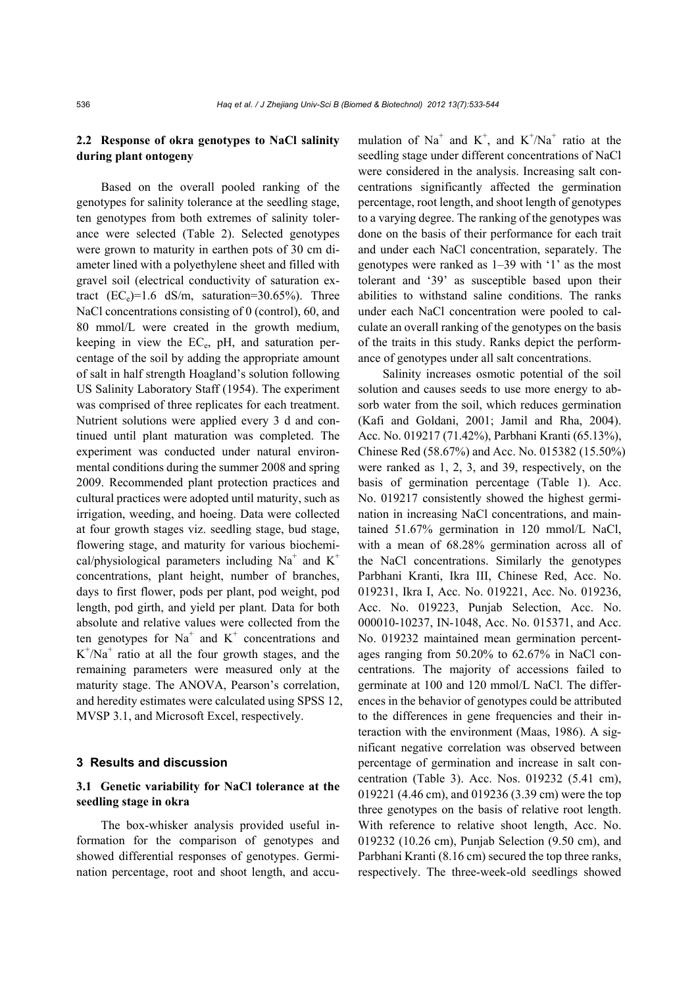#### **2.2 Response of okra genotypes to NaCl salinity during plant ontogeny**

Based on the overall pooled ranking of the genotypes for salinity tolerance at the seedling stage, ten genotypes from both extremes of salinity tolerance were selected (Table 2). Selected genotypes were grown to maturity in earthen pots of 30 cm diameter lined with a polyethylene sheet and filled with gravel soil (electrical conductivity of saturation extract  $(EC_e)=1.6$  dS/m, saturation=30.65%). Three NaCl concentrations consisting of 0 (control), 60, and 80 mmol/L were created in the growth medium, keeping in view the  $EC_e$ , pH, and saturation percentage of the soil by adding the appropriate amount of salt in half strength Hoagland's solution following US Salinity Laboratory Staff (1954). The experiment was comprised of three replicates for each treatment. Nutrient solutions were applied every 3 d and continued until plant maturation was completed. The experiment was conducted under natural environmental conditions during the summer 2008 and spring 2009. Recommended plant protection practices and cultural practices were adopted until maturity, such as irrigation, weeding, and hoeing. Data were collected at four growth stages viz. seedling stage, bud stage, flowering stage, and maturity for various biochemical/physiological parameters including  $Na<sup>+</sup>$  and  $K<sup>+</sup>$ concentrations, plant height, number of branches, days to first flower, pods per plant, pod weight, pod length, pod girth, and yield per plant. Data for both absolute and relative values were collected from the ten genotypes for  $Na<sup>+</sup>$  and  $K<sup>+</sup>$  concentrations and  $K^{+}/Na^{+}$  ratio at all the four growth stages, and the remaining parameters were measured only at the maturity stage. The ANOVA, Pearson's correlation, and heredity estimates were calculated using SPSS 12, MVSP 3.1, and Microsoft Excel, respectively.

#### **3 Results and discussion**

## **3.1 Genetic variability for NaCl tolerance at the seedling stage in okra**

The box-whisker analysis provided useful information for the comparison of genotypes and showed differential responses of genotypes. Germination percentage, root and shoot length, and accu-

mulation of Na<sup>+</sup> and K<sup>+</sup>, and K<sup>+</sup>/Na<sup>+</sup> ratio at the seedling stage under different concentrations of NaCl were considered in the analysis. Increasing salt concentrations significantly affected the germination percentage, root length, and shoot length of genotypes to a varying degree. The ranking of the genotypes was done on the basis of their performance for each trait and under each NaCl concentration, separately. The genotypes were ranked as 1–39 with '1' as the most tolerant and '39' as susceptible based upon their abilities to withstand saline conditions. The ranks under each NaCl concentration were pooled to calculate an overall ranking of the genotypes on the basis of the traits in this study. Ranks depict the performance of genotypes under all salt concentrations.

Salinity increases osmotic potential of the soil solution and causes seeds to use more energy to absorb water from the soil, which reduces germination (Kafi and Goldani, 2001; Jamil and Rha, 2004). Acc. No. 019217 (71.42%), Parbhani Kranti (65.13%), Chinese Red (58.67%) and Acc. No. 015382 (15.50%) were ranked as 1, 2, 3, and 39, respectively, on the basis of germination percentage (Table 1). Acc. No. 019217 consistently showed the highest germination in increasing NaCl concentrations, and maintained 51.67% germination in 120 mmol/L NaCl, with a mean of 68.28% germination across all of the NaCl concentrations. Similarly the genotypes Parbhani Kranti, Ikra III, Chinese Red, Acc. No. 019231, Ikra I, Acc. No. 019221, Acc. No. 019236, Acc. No. 019223, Punjab Selection, Acc. No. 000010-10237, IN-1048, Acc. No. 015371, and Acc. No. 019232 maintained mean germination percentages ranging from 50.20% to 62.67% in NaCl concentrations. The majority of accessions failed to germinate at 100 and 120 mmol/L NaCl. The differences in the behavior of genotypes could be attributed to the differences in gene frequencies and their interaction with the environment (Maas, 1986). A significant negative correlation was observed between percentage of germination and increase in salt concentration (Table 3). Acc. Nos. 019232 (5.41 cm), 019221 (4.46 cm), and 019236 (3.39 cm) were the top three genotypes on the basis of relative root length. With reference to relative shoot length, Acc. No. 019232 (10.26 cm), Punjab Selection (9.50 cm), and Parbhani Kranti (8.16 cm) secured the top three ranks, respectively. The three-week-old seedlings showed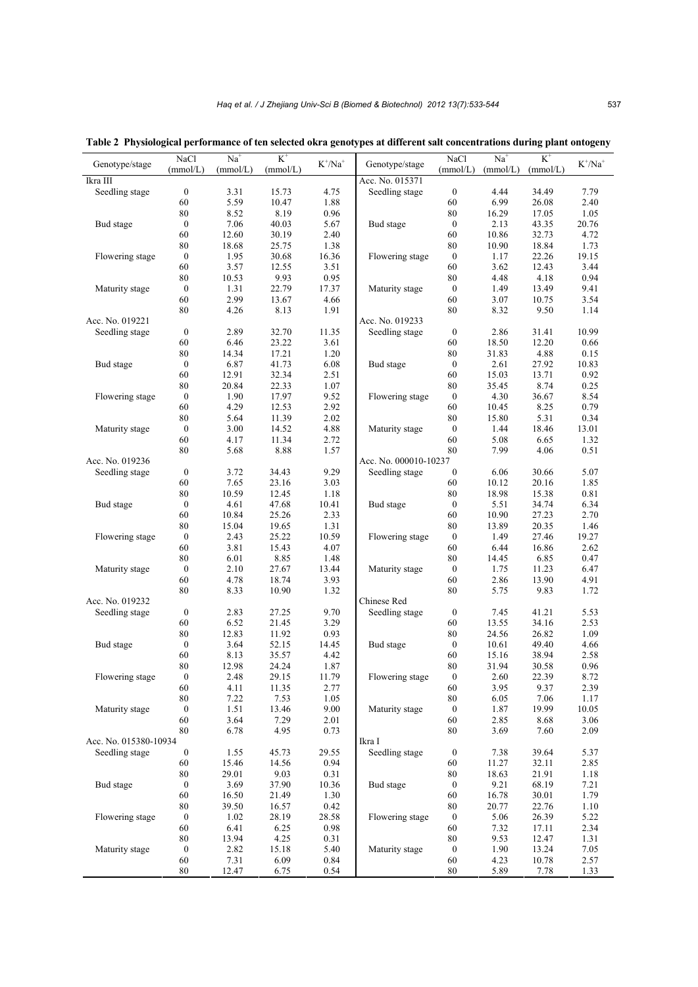| (mmol/L)<br>(mmol/L)<br>(mmol/L)<br>(mmol/L)<br>(mmol/L)<br>(mmol/L)<br>Ikra III<br>Acc. No. 015371<br>Seedling stage<br>$\boldsymbol{0}$<br>15.73<br>4.75<br>$\boldsymbol{0}$<br>4.44<br>7.79<br>3.31<br>Seedling stage<br>34.49<br>5.59<br>1.88<br>6.99<br>2.40<br>60<br>10.47<br>60<br>26.08<br>8.52<br>8.19<br>0.96<br>80<br>1.05<br>80<br>16.29<br>17.05<br>$\boldsymbol{0}$<br>7.06<br>40.03<br>5.67<br>$\boldsymbol{0}$<br>2.13<br>43.35<br>20.76<br>Bud stage<br>Bud stage<br>60<br>12.60<br>30.19<br>2.40<br>60<br>10.86<br>4.72<br>32.73<br>80<br>18.68<br>25.75<br>1.38<br>80<br>10.90<br>18.84<br>1.73<br>Flowering stage<br>$\boldsymbol{0}$<br>1.95<br>30.68<br>16.36<br>Flowering stage<br>$\boldsymbol{0}$<br>1.17<br>22.26<br>19.15<br>60<br>3.57<br>3.51<br>60<br>3.44<br>12.55<br>3.62<br>12.43<br>0.94<br>9.93<br>0.95<br>80<br>4.18<br>80<br>10.53<br>4.48<br>$\boldsymbol{0}$<br>1.31<br>22.79<br>$\boldsymbol{0}$<br>9.41<br>Maturity stage<br>17.37<br>Maturity stage<br>1.49<br>13.49<br>2.99<br>4.66<br>60<br>3.54<br>60<br>13.67<br>3.07<br>10.75<br>80<br>1.91<br>80<br>9.50<br>4.26<br>8.13<br>8.32<br>1.14<br>Acc. No. 019221<br>Acc. No. 019233<br>$\boldsymbol{0}$<br>2.89<br>32.70<br>11.35<br>$\boldsymbol{0}$<br>10.99<br>Seedling stage<br>Seedling stage<br>2.86<br>31.41<br>23.22<br>3.61<br>6.46<br>18.50<br>12.20<br>0.66<br>60<br>60<br>17.21<br>1.20<br>80<br>31.83<br>4.88<br>0.15<br>80<br>14.34<br>6.87<br>41.73<br>6.08<br>$\boldsymbol{0}$<br>2.61<br>10.83<br>Bud stage<br>$\bf{0}$<br>Bud stage<br>27.92<br>12.91<br>32.34<br>2.51<br>60<br>15.03<br>0.92<br>60<br>13.71<br>0.25<br>20.84<br>22.33<br>1.07<br>80<br>35.45<br>8.74<br>80<br>9.52<br>Flowering stage<br>$\boldsymbol{0}$<br>1.90<br>17.97<br>Flowering stage<br>$\boldsymbol{0}$<br>4.30<br>36.67<br>8.54<br>4.29<br>2.92<br>60<br>8.25<br>0.79<br>60<br>12.53<br>10.45<br>2.02<br>80<br>5.64<br>11.39<br>80<br>15.80<br>5.31<br>0.34<br>$\boldsymbol{0}$<br>3.00<br>14.52<br>4.88<br>$\boldsymbol{0}$<br>18.46<br>13.01<br>Maturity stage<br>Maturity stage<br>1.44<br>60<br>11.34<br>2.72<br>60<br>5.08<br>6.65<br>1.32<br>4.17<br>$80\,$<br>80<br>1.57<br>7.99<br>4.06<br>0.51<br>5.68<br>8.88<br>Acc. No. 000010-10237<br>Acc. No. 019236<br>$\boldsymbol{0}$<br>34.43<br>9.29<br>$\boldsymbol{0}$<br>6.06<br>5.07<br>Seedling stage<br>3.72<br>Seedling stage<br>30.66<br>3.03<br>1.85<br>7.65<br>23.16<br>10.12<br>20.16<br>60<br>60<br>80<br>10.59<br>80<br>18.98<br>0.81<br>12.45<br>1.18<br>15.38<br>$\boldsymbol{0}$<br>4.61<br>47.68<br>10.41<br>$\boldsymbol{0}$<br>5.51<br>6.34<br>Bud stage<br>Bud stage<br>34.74<br>10.84<br>25.26<br>2.33<br>60<br>10.90<br>27.23<br>2.70<br>60<br>$80\,$<br>15.04<br>19.65<br>1.31<br>13.89<br>20.35<br>1.46<br>80<br>$\boldsymbol{0}$<br>2.43<br>25.22<br>10.59<br>Flowering stage<br>27.46<br>19.27<br>Flowering stage<br>$\boldsymbol{0}$<br>1.49<br>3.81<br>15.43<br>4.07<br>60<br>2.62<br>60<br>6.44<br>16.86<br>80<br>6.01<br>8.85<br>1.48<br>80<br>14.45<br>6.85<br>0.47<br>$\boldsymbol{0}$<br>2.10<br>27.67<br>13.44<br>$\boldsymbol{0}$<br>1.75<br>6.47<br>Maturity stage<br>Maturity stage<br>11.23<br>4.91<br>60<br>4.78<br>18.74<br>3.93<br>60<br>2.86<br>13.90<br>80<br>80<br>8.33<br>10.90<br>1.32<br>5.75<br>9.83<br>1.72<br>Acc. No. 019232<br>Chinese Red<br>$\boldsymbol{0}$<br>9.70<br>$\boldsymbol{0}$<br>5.53<br>Seedling stage<br>2.83<br>27.25<br>Seedling stage<br>7.45<br>41.21<br>6.52<br>3.29<br>2.53<br>60<br>21.45<br>60<br>13.55<br>34.16<br>12.83<br>0.93<br>80<br>1.09<br>80<br>11.92<br>24.56<br>26.82<br>$\boldsymbol{0}$<br>14.45<br>4.66<br>Bud stage<br>3.64<br>52.15<br>Bud stage<br>$\boldsymbol{0}$<br>10.61<br>49.40<br>8.13<br>35.57<br>4.42<br>60<br>2.58<br>60<br>15.16<br>38.94<br>80<br>12.98<br>24.24<br>1.87<br>80<br>0.96<br>31.94<br>30.58<br>11.79<br>22.39<br>$\boldsymbol{0}$<br>2.48<br>29.15<br>$\boldsymbol{0}$<br>2.60<br>8.72<br>Flowering stage<br>Flowering stage<br>4.11<br>60<br>11.35<br>60<br>3.95<br>9.37<br>2.77<br>2.39<br>80<br>7.22<br>7.53<br>1.05<br>80<br>6.05<br>7.06<br>1.17<br>1.51<br>13.46<br>9.00<br>$\boldsymbol{0}$<br>19.99<br>10.05<br>Maturity stage<br>$\boldsymbol{0}$<br>Maturity stage<br>1.87<br>60<br>3.64<br>7.29<br>2.01<br>60<br>2.85<br>3.06<br>8.68<br>80<br>6.78<br>4.95<br>0.73<br>80<br>2.09<br>3.69<br>7.60<br>Acc. No. 015380-10934<br>Ikra I<br>$\boldsymbol{0}$<br>29.55<br>Seedling stage<br>$\boldsymbol{0}$<br>39.64<br>Seedling stage<br>1.55<br>45.73<br>7.38<br>5.37<br>14.56<br>0.94<br>2.85<br>60<br>15.46<br>60<br>11.27<br>32.11<br>29.01<br>80<br>9.03<br>0.31<br>80<br>18.63<br>21.91<br>1.18<br>Bud stage<br>7.21<br>$\boldsymbol{0}$<br>3.69<br>37.90<br>10.36<br>Bud stage<br>$\boldsymbol{0}$<br>9.21<br>68.19<br>1.30<br>60<br>1.79<br>60<br>16.50<br>21.49<br>16.78<br>30.01<br>39.50<br>0.42<br>80<br>1.10<br>80<br>16.57<br>20.77<br>22.76<br>Flowering stage<br>28.58<br>Flowering stage<br>$\boldsymbol{0}$<br>5.06<br>26.39<br>5.22<br>$\boldsymbol{0}$<br>1.02<br>28.19<br>6.25<br>0.98<br>7.32<br>2.34<br>60<br>6.41<br>60<br>17.11<br>80<br>13.94<br>4.25<br>0.31<br>80<br>9.53<br>1.31<br>12.47<br>Maturity stage<br>$\boldsymbol{0}$<br>2.82<br>15.18<br>5.40<br>Maturity stage<br>$\boldsymbol{0}$<br>1.90<br>13.24<br>7.05<br>7.31<br>6.09<br>0.84<br>60<br>60<br>4.23<br>10.78<br>2.57<br>0.54<br>80<br>1.33<br>80<br>12.47<br>6.75<br>5.89<br>7.78 | Genotype/stage | NaCl | $Na+$ | $K^+$ | $K^{\dagger}/Na^{\dagger}$ |                | NaCl | $Na+$ | $K^+$ | $K^{\dagger}/Na^{\dagger}$ |
|----------------------------------------------------------------------------------------------------------------------------------------------------------------------------------------------------------------------------------------------------------------------------------------------------------------------------------------------------------------------------------------------------------------------------------------------------------------------------------------------------------------------------------------------------------------------------------------------------------------------------------------------------------------------------------------------------------------------------------------------------------------------------------------------------------------------------------------------------------------------------------------------------------------------------------------------------------------------------------------------------------------------------------------------------------------------------------------------------------------------------------------------------------------------------------------------------------------------------------------------------------------------------------------------------------------------------------------------------------------------------------------------------------------------------------------------------------------------------------------------------------------------------------------------------------------------------------------------------------------------------------------------------------------------------------------------------------------------------------------------------------------------------------------------------------------------------------------------------------------------------------------------------------------------------------------------------------------------------------------------------------------------------------------------------------------------------------------------------------------------------------------------------------------------------------------------------------------------------------------------------------------------------------------------------------------------------------------------------------------------------------------------------------------------------------------------------------------------------------------------------------------------------------------------------------------------------------------------------------------------------------------------------------------------------------------------------------------------------------------------------------------------------------------------------------------------------------------------------------------------------------------------------------------------------------------------------------------------------------------------------------------------------------------------------------------------------------------------------------------------------------------------------------------------------------------------------------------------------------------------------------------------------------------------------------------------------------------------------------------------------------------------------------------------------------------------------------------------------------------------------------------------------------------------------------------------------------------------------------------------------------------------------------------------------------------------------------------------------------------------------------------------------------------------------------------------------------------------------------------------------------------------------------------------------------------------------------------------------------------------------------------------------------------------------------------------------------------------------------------------------------------------------------------------------------------------------------------------------------------------------------------------------------------------------------------------------------------------------------------------------------------------------------------------------------------------------------------------------------------------------------------------------------------------------------------------------------------------------------------------------------------------------------------------------------------------------------------------------------------------------------------------------------------------------------------------------------------------------------------------------------------------------------------------------------------------------------------------------------------------------------------------------------------------------------------------------------------------------------------------------------------------------------------------------------------------------------------------------------------------------------------------------------------------------------------------------------------------------------------------------------------------------------------------------------------------------------|----------------|------|-------|-------|----------------------------|----------------|------|-------|-------|----------------------------|
|                                                                                                                                                                                                                                                                                                                                                                                                                                                                                                                                                                                                                                                                                                                                                                                                                                                                                                                                                                                                                                                                                                                                                                                                                                                                                                                                                                                                                                                                                                                                                                                                                                                                                                                                                                                                                                                                                                                                                                                                                                                                                                                                                                                                                                                                                                                                                                                                                                                                                                                                                                                                                                                                                                                                                                                                                                                                                                                                                                                                                                                                                                                                                                                                                                                                                                                                                                                                                                                                                                                                                                                                                                                                                                                                                                                                                                                                                                                                                                                                                                                                                                                                                                                                                                                                                                                                                                                                                                                                                                                                                                                                                                                                                                                                                                                                                                                                                                                                                                                                                                                                                                                                                                                                                                                                                                                                                                                                                                                          |                |      |       |       |                            | Genotype/stage |      |       |       |                            |
|                                                                                                                                                                                                                                                                                                                                                                                                                                                                                                                                                                                                                                                                                                                                                                                                                                                                                                                                                                                                                                                                                                                                                                                                                                                                                                                                                                                                                                                                                                                                                                                                                                                                                                                                                                                                                                                                                                                                                                                                                                                                                                                                                                                                                                                                                                                                                                                                                                                                                                                                                                                                                                                                                                                                                                                                                                                                                                                                                                                                                                                                                                                                                                                                                                                                                                                                                                                                                                                                                                                                                                                                                                                                                                                                                                                                                                                                                                                                                                                                                                                                                                                                                                                                                                                                                                                                                                                                                                                                                                                                                                                                                                                                                                                                                                                                                                                                                                                                                                                                                                                                                                                                                                                                                                                                                                                                                                                                                                                          |                |      |       |       |                            |                |      |       |       |                            |
|                                                                                                                                                                                                                                                                                                                                                                                                                                                                                                                                                                                                                                                                                                                                                                                                                                                                                                                                                                                                                                                                                                                                                                                                                                                                                                                                                                                                                                                                                                                                                                                                                                                                                                                                                                                                                                                                                                                                                                                                                                                                                                                                                                                                                                                                                                                                                                                                                                                                                                                                                                                                                                                                                                                                                                                                                                                                                                                                                                                                                                                                                                                                                                                                                                                                                                                                                                                                                                                                                                                                                                                                                                                                                                                                                                                                                                                                                                                                                                                                                                                                                                                                                                                                                                                                                                                                                                                                                                                                                                                                                                                                                                                                                                                                                                                                                                                                                                                                                                                                                                                                                                                                                                                                                                                                                                                                                                                                                                                          |                |      |       |       |                            |                |      |       |       |                            |
|                                                                                                                                                                                                                                                                                                                                                                                                                                                                                                                                                                                                                                                                                                                                                                                                                                                                                                                                                                                                                                                                                                                                                                                                                                                                                                                                                                                                                                                                                                                                                                                                                                                                                                                                                                                                                                                                                                                                                                                                                                                                                                                                                                                                                                                                                                                                                                                                                                                                                                                                                                                                                                                                                                                                                                                                                                                                                                                                                                                                                                                                                                                                                                                                                                                                                                                                                                                                                                                                                                                                                                                                                                                                                                                                                                                                                                                                                                                                                                                                                                                                                                                                                                                                                                                                                                                                                                                                                                                                                                                                                                                                                                                                                                                                                                                                                                                                                                                                                                                                                                                                                                                                                                                                                                                                                                                                                                                                                                                          |                |      |       |       |                            |                |      |       |       |                            |
|                                                                                                                                                                                                                                                                                                                                                                                                                                                                                                                                                                                                                                                                                                                                                                                                                                                                                                                                                                                                                                                                                                                                                                                                                                                                                                                                                                                                                                                                                                                                                                                                                                                                                                                                                                                                                                                                                                                                                                                                                                                                                                                                                                                                                                                                                                                                                                                                                                                                                                                                                                                                                                                                                                                                                                                                                                                                                                                                                                                                                                                                                                                                                                                                                                                                                                                                                                                                                                                                                                                                                                                                                                                                                                                                                                                                                                                                                                                                                                                                                                                                                                                                                                                                                                                                                                                                                                                                                                                                                                                                                                                                                                                                                                                                                                                                                                                                                                                                                                                                                                                                                                                                                                                                                                                                                                                                                                                                                                                          |                |      |       |       |                            |                |      |       |       |                            |
|                                                                                                                                                                                                                                                                                                                                                                                                                                                                                                                                                                                                                                                                                                                                                                                                                                                                                                                                                                                                                                                                                                                                                                                                                                                                                                                                                                                                                                                                                                                                                                                                                                                                                                                                                                                                                                                                                                                                                                                                                                                                                                                                                                                                                                                                                                                                                                                                                                                                                                                                                                                                                                                                                                                                                                                                                                                                                                                                                                                                                                                                                                                                                                                                                                                                                                                                                                                                                                                                                                                                                                                                                                                                                                                                                                                                                                                                                                                                                                                                                                                                                                                                                                                                                                                                                                                                                                                                                                                                                                                                                                                                                                                                                                                                                                                                                                                                                                                                                                                                                                                                                                                                                                                                                                                                                                                                                                                                                                                          |                |      |       |       |                            |                |      |       |       |                            |
|                                                                                                                                                                                                                                                                                                                                                                                                                                                                                                                                                                                                                                                                                                                                                                                                                                                                                                                                                                                                                                                                                                                                                                                                                                                                                                                                                                                                                                                                                                                                                                                                                                                                                                                                                                                                                                                                                                                                                                                                                                                                                                                                                                                                                                                                                                                                                                                                                                                                                                                                                                                                                                                                                                                                                                                                                                                                                                                                                                                                                                                                                                                                                                                                                                                                                                                                                                                                                                                                                                                                                                                                                                                                                                                                                                                                                                                                                                                                                                                                                                                                                                                                                                                                                                                                                                                                                                                                                                                                                                                                                                                                                                                                                                                                                                                                                                                                                                                                                                                                                                                                                                                                                                                                                                                                                                                                                                                                                                                          |                |      |       |       |                            |                |      |       |       |                            |
|                                                                                                                                                                                                                                                                                                                                                                                                                                                                                                                                                                                                                                                                                                                                                                                                                                                                                                                                                                                                                                                                                                                                                                                                                                                                                                                                                                                                                                                                                                                                                                                                                                                                                                                                                                                                                                                                                                                                                                                                                                                                                                                                                                                                                                                                                                                                                                                                                                                                                                                                                                                                                                                                                                                                                                                                                                                                                                                                                                                                                                                                                                                                                                                                                                                                                                                                                                                                                                                                                                                                                                                                                                                                                                                                                                                                                                                                                                                                                                                                                                                                                                                                                                                                                                                                                                                                                                                                                                                                                                                                                                                                                                                                                                                                                                                                                                                                                                                                                                                                                                                                                                                                                                                                                                                                                                                                                                                                                                                          |                |      |       |       |                            |                |      |       |       |                            |
|                                                                                                                                                                                                                                                                                                                                                                                                                                                                                                                                                                                                                                                                                                                                                                                                                                                                                                                                                                                                                                                                                                                                                                                                                                                                                                                                                                                                                                                                                                                                                                                                                                                                                                                                                                                                                                                                                                                                                                                                                                                                                                                                                                                                                                                                                                                                                                                                                                                                                                                                                                                                                                                                                                                                                                                                                                                                                                                                                                                                                                                                                                                                                                                                                                                                                                                                                                                                                                                                                                                                                                                                                                                                                                                                                                                                                                                                                                                                                                                                                                                                                                                                                                                                                                                                                                                                                                                                                                                                                                                                                                                                                                                                                                                                                                                                                                                                                                                                                                                                                                                                                                                                                                                                                                                                                                                                                                                                                                                          |                |      |       |       |                            |                |      |       |       |                            |
|                                                                                                                                                                                                                                                                                                                                                                                                                                                                                                                                                                                                                                                                                                                                                                                                                                                                                                                                                                                                                                                                                                                                                                                                                                                                                                                                                                                                                                                                                                                                                                                                                                                                                                                                                                                                                                                                                                                                                                                                                                                                                                                                                                                                                                                                                                                                                                                                                                                                                                                                                                                                                                                                                                                                                                                                                                                                                                                                                                                                                                                                                                                                                                                                                                                                                                                                                                                                                                                                                                                                                                                                                                                                                                                                                                                                                                                                                                                                                                                                                                                                                                                                                                                                                                                                                                                                                                                                                                                                                                                                                                                                                                                                                                                                                                                                                                                                                                                                                                                                                                                                                                                                                                                                                                                                                                                                                                                                                                                          |                |      |       |       |                            |                |      |       |       |                            |
|                                                                                                                                                                                                                                                                                                                                                                                                                                                                                                                                                                                                                                                                                                                                                                                                                                                                                                                                                                                                                                                                                                                                                                                                                                                                                                                                                                                                                                                                                                                                                                                                                                                                                                                                                                                                                                                                                                                                                                                                                                                                                                                                                                                                                                                                                                                                                                                                                                                                                                                                                                                                                                                                                                                                                                                                                                                                                                                                                                                                                                                                                                                                                                                                                                                                                                                                                                                                                                                                                                                                                                                                                                                                                                                                                                                                                                                                                                                                                                                                                                                                                                                                                                                                                                                                                                                                                                                                                                                                                                                                                                                                                                                                                                                                                                                                                                                                                                                                                                                                                                                                                                                                                                                                                                                                                                                                                                                                                                                          |                |      |       |       |                            |                |      |       |       |                            |
|                                                                                                                                                                                                                                                                                                                                                                                                                                                                                                                                                                                                                                                                                                                                                                                                                                                                                                                                                                                                                                                                                                                                                                                                                                                                                                                                                                                                                                                                                                                                                                                                                                                                                                                                                                                                                                                                                                                                                                                                                                                                                                                                                                                                                                                                                                                                                                                                                                                                                                                                                                                                                                                                                                                                                                                                                                                                                                                                                                                                                                                                                                                                                                                                                                                                                                                                                                                                                                                                                                                                                                                                                                                                                                                                                                                                                                                                                                                                                                                                                                                                                                                                                                                                                                                                                                                                                                                                                                                                                                                                                                                                                                                                                                                                                                                                                                                                                                                                                                                                                                                                                                                                                                                                                                                                                                                                                                                                                                                          |                |      |       |       |                            |                |      |       |       |                            |
|                                                                                                                                                                                                                                                                                                                                                                                                                                                                                                                                                                                                                                                                                                                                                                                                                                                                                                                                                                                                                                                                                                                                                                                                                                                                                                                                                                                                                                                                                                                                                                                                                                                                                                                                                                                                                                                                                                                                                                                                                                                                                                                                                                                                                                                                                                                                                                                                                                                                                                                                                                                                                                                                                                                                                                                                                                                                                                                                                                                                                                                                                                                                                                                                                                                                                                                                                                                                                                                                                                                                                                                                                                                                                                                                                                                                                                                                                                                                                                                                                                                                                                                                                                                                                                                                                                                                                                                                                                                                                                                                                                                                                                                                                                                                                                                                                                                                                                                                                                                                                                                                                                                                                                                                                                                                                                                                                                                                                                                          |                |      |       |       |                            |                |      |       |       |                            |
|                                                                                                                                                                                                                                                                                                                                                                                                                                                                                                                                                                                                                                                                                                                                                                                                                                                                                                                                                                                                                                                                                                                                                                                                                                                                                                                                                                                                                                                                                                                                                                                                                                                                                                                                                                                                                                                                                                                                                                                                                                                                                                                                                                                                                                                                                                                                                                                                                                                                                                                                                                                                                                                                                                                                                                                                                                                                                                                                                                                                                                                                                                                                                                                                                                                                                                                                                                                                                                                                                                                                                                                                                                                                                                                                                                                                                                                                                                                                                                                                                                                                                                                                                                                                                                                                                                                                                                                                                                                                                                                                                                                                                                                                                                                                                                                                                                                                                                                                                                                                                                                                                                                                                                                                                                                                                                                                                                                                                                                          |                |      |       |       |                            |                |      |       |       |                            |
|                                                                                                                                                                                                                                                                                                                                                                                                                                                                                                                                                                                                                                                                                                                                                                                                                                                                                                                                                                                                                                                                                                                                                                                                                                                                                                                                                                                                                                                                                                                                                                                                                                                                                                                                                                                                                                                                                                                                                                                                                                                                                                                                                                                                                                                                                                                                                                                                                                                                                                                                                                                                                                                                                                                                                                                                                                                                                                                                                                                                                                                                                                                                                                                                                                                                                                                                                                                                                                                                                                                                                                                                                                                                                                                                                                                                                                                                                                                                                                                                                                                                                                                                                                                                                                                                                                                                                                                                                                                                                                                                                                                                                                                                                                                                                                                                                                                                                                                                                                                                                                                                                                                                                                                                                                                                                                                                                                                                                                                          |                |      |       |       |                            |                |      |       |       |                            |
|                                                                                                                                                                                                                                                                                                                                                                                                                                                                                                                                                                                                                                                                                                                                                                                                                                                                                                                                                                                                                                                                                                                                                                                                                                                                                                                                                                                                                                                                                                                                                                                                                                                                                                                                                                                                                                                                                                                                                                                                                                                                                                                                                                                                                                                                                                                                                                                                                                                                                                                                                                                                                                                                                                                                                                                                                                                                                                                                                                                                                                                                                                                                                                                                                                                                                                                                                                                                                                                                                                                                                                                                                                                                                                                                                                                                                                                                                                                                                                                                                                                                                                                                                                                                                                                                                                                                                                                                                                                                                                                                                                                                                                                                                                                                                                                                                                                                                                                                                                                                                                                                                                                                                                                                                                                                                                                                                                                                                                                          |                |      |       |       |                            |                |      |       |       |                            |
|                                                                                                                                                                                                                                                                                                                                                                                                                                                                                                                                                                                                                                                                                                                                                                                                                                                                                                                                                                                                                                                                                                                                                                                                                                                                                                                                                                                                                                                                                                                                                                                                                                                                                                                                                                                                                                                                                                                                                                                                                                                                                                                                                                                                                                                                                                                                                                                                                                                                                                                                                                                                                                                                                                                                                                                                                                                                                                                                                                                                                                                                                                                                                                                                                                                                                                                                                                                                                                                                                                                                                                                                                                                                                                                                                                                                                                                                                                                                                                                                                                                                                                                                                                                                                                                                                                                                                                                                                                                                                                                                                                                                                                                                                                                                                                                                                                                                                                                                                                                                                                                                                                                                                                                                                                                                                                                                                                                                                                                          |                |      |       |       |                            |                |      |       |       |                            |
|                                                                                                                                                                                                                                                                                                                                                                                                                                                                                                                                                                                                                                                                                                                                                                                                                                                                                                                                                                                                                                                                                                                                                                                                                                                                                                                                                                                                                                                                                                                                                                                                                                                                                                                                                                                                                                                                                                                                                                                                                                                                                                                                                                                                                                                                                                                                                                                                                                                                                                                                                                                                                                                                                                                                                                                                                                                                                                                                                                                                                                                                                                                                                                                                                                                                                                                                                                                                                                                                                                                                                                                                                                                                                                                                                                                                                                                                                                                                                                                                                                                                                                                                                                                                                                                                                                                                                                                                                                                                                                                                                                                                                                                                                                                                                                                                                                                                                                                                                                                                                                                                                                                                                                                                                                                                                                                                                                                                                                                          |                |      |       |       |                            |                |      |       |       |                            |
|                                                                                                                                                                                                                                                                                                                                                                                                                                                                                                                                                                                                                                                                                                                                                                                                                                                                                                                                                                                                                                                                                                                                                                                                                                                                                                                                                                                                                                                                                                                                                                                                                                                                                                                                                                                                                                                                                                                                                                                                                                                                                                                                                                                                                                                                                                                                                                                                                                                                                                                                                                                                                                                                                                                                                                                                                                                                                                                                                                                                                                                                                                                                                                                                                                                                                                                                                                                                                                                                                                                                                                                                                                                                                                                                                                                                                                                                                                                                                                                                                                                                                                                                                                                                                                                                                                                                                                                                                                                                                                                                                                                                                                                                                                                                                                                                                                                                                                                                                                                                                                                                                                                                                                                                                                                                                                                                                                                                                                                          |                |      |       |       |                            |                |      |       |       |                            |
|                                                                                                                                                                                                                                                                                                                                                                                                                                                                                                                                                                                                                                                                                                                                                                                                                                                                                                                                                                                                                                                                                                                                                                                                                                                                                                                                                                                                                                                                                                                                                                                                                                                                                                                                                                                                                                                                                                                                                                                                                                                                                                                                                                                                                                                                                                                                                                                                                                                                                                                                                                                                                                                                                                                                                                                                                                                                                                                                                                                                                                                                                                                                                                                                                                                                                                                                                                                                                                                                                                                                                                                                                                                                                                                                                                                                                                                                                                                                                                                                                                                                                                                                                                                                                                                                                                                                                                                                                                                                                                                                                                                                                                                                                                                                                                                                                                                                                                                                                                                                                                                                                                                                                                                                                                                                                                                                                                                                                                                          |                |      |       |       |                            |                |      |       |       |                            |
|                                                                                                                                                                                                                                                                                                                                                                                                                                                                                                                                                                                                                                                                                                                                                                                                                                                                                                                                                                                                                                                                                                                                                                                                                                                                                                                                                                                                                                                                                                                                                                                                                                                                                                                                                                                                                                                                                                                                                                                                                                                                                                                                                                                                                                                                                                                                                                                                                                                                                                                                                                                                                                                                                                                                                                                                                                                                                                                                                                                                                                                                                                                                                                                                                                                                                                                                                                                                                                                                                                                                                                                                                                                                                                                                                                                                                                                                                                                                                                                                                                                                                                                                                                                                                                                                                                                                                                                                                                                                                                                                                                                                                                                                                                                                                                                                                                                                                                                                                                                                                                                                                                                                                                                                                                                                                                                                                                                                                                                          |                |      |       |       |                            |                |      |       |       |                            |
|                                                                                                                                                                                                                                                                                                                                                                                                                                                                                                                                                                                                                                                                                                                                                                                                                                                                                                                                                                                                                                                                                                                                                                                                                                                                                                                                                                                                                                                                                                                                                                                                                                                                                                                                                                                                                                                                                                                                                                                                                                                                                                                                                                                                                                                                                                                                                                                                                                                                                                                                                                                                                                                                                                                                                                                                                                                                                                                                                                                                                                                                                                                                                                                                                                                                                                                                                                                                                                                                                                                                                                                                                                                                                                                                                                                                                                                                                                                                                                                                                                                                                                                                                                                                                                                                                                                                                                                                                                                                                                                                                                                                                                                                                                                                                                                                                                                                                                                                                                                                                                                                                                                                                                                                                                                                                                                                                                                                                                                          |                |      |       |       |                            |                |      |       |       |                            |
|                                                                                                                                                                                                                                                                                                                                                                                                                                                                                                                                                                                                                                                                                                                                                                                                                                                                                                                                                                                                                                                                                                                                                                                                                                                                                                                                                                                                                                                                                                                                                                                                                                                                                                                                                                                                                                                                                                                                                                                                                                                                                                                                                                                                                                                                                                                                                                                                                                                                                                                                                                                                                                                                                                                                                                                                                                                                                                                                                                                                                                                                                                                                                                                                                                                                                                                                                                                                                                                                                                                                                                                                                                                                                                                                                                                                                                                                                                                                                                                                                                                                                                                                                                                                                                                                                                                                                                                                                                                                                                                                                                                                                                                                                                                                                                                                                                                                                                                                                                                                                                                                                                                                                                                                                                                                                                                                                                                                                                                          |                |      |       |       |                            |                |      |       |       |                            |
|                                                                                                                                                                                                                                                                                                                                                                                                                                                                                                                                                                                                                                                                                                                                                                                                                                                                                                                                                                                                                                                                                                                                                                                                                                                                                                                                                                                                                                                                                                                                                                                                                                                                                                                                                                                                                                                                                                                                                                                                                                                                                                                                                                                                                                                                                                                                                                                                                                                                                                                                                                                                                                                                                                                                                                                                                                                                                                                                                                                                                                                                                                                                                                                                                                                                                                                                                                                                                                                                                                                                                                                                                                                                                                                                                                                                                                                                                                                                                                                                                                                                                                                                                                                                                                                                                                                                                                                                                                                                                                                                                                                                                                                                                                                                                                                                                                                                                                                                                                                                                                                                                                                                                                                                                                                                                                                                                                                                                                                          |                |      |       |       |                            |                |      |       |       |                            |
|                                                                                                                                                                                                                                                                                                                                                                                                                                                                                                                                                                                                                                                                                                                                                                                                                                                                                                                                                                                                                                                                                                                                                                                                                                                                                                                                                                                                                                                                                                                                                                                                                                                                                                                                                                                                                                                                                                                                                                                                                                                                                                                                                                                                                                                                                                                                                                                                                                                                                                                                                                                                                                                                                                                                                                                                                                                                                                                                                                                                                                                                                                                                                                                                                                                                                                                                                                                                                                                                                                                                                                                                                                                                                                                                                                                                                                                                                                                                                                                                                                                                                                                                                                                                                                                                                                                                                                                                                                                                                                                                                                                                                                                                                                                                                                                                                                                                                                                                                                                                                                                                                                                                                                                                                                                                                                                                                                                                                                                          |                |      |       |       |                            |                |      |       |       |                            |
|                                                                                                                                                                                                                                                                                                                                                                                                                                                                                                                                                                                                                                                                                                                                                                                                                                                                                                                                                                                                                                                                                                                                                                                                                                                                                                                                                                                                                                                                                                                                                                                                                                                                                                                                                                                                                                                                                                                                                                                                                                                                                                                                                                                                                                                                                                                                                                                                                                                                                                                                                                                                                                                                                                                                                                                                                                                                                                                                                                                                                                                                                                                                                                                                                                                                                                                                                                                                                                                                                                                                                                                                                                                                                                                                                                                                                                                                                                                                                                                                                                                                                                                                                                                                                                                                                                                                                                                                                                                                                                                                                                                                                                                                                                                                                                                                                                                                                                                                                                                                                                                                                                                                                                                                                                                                                                                                                                                                                                                          |                |      |       |       |                            |                |      |       |       |                            |
|                                                                                                                                                                                                                                                                                                                                                                                                                                                                                                                                                                                                                                                                                                                                                                                                                                                                                                                                                                                                                                                                                                                                                                                                                                                                                                                                                                                                                                                                                                                                                                                                                                                                                                                                                                                                                                                                                                                                                                                                                                                                                                                                                                                                                                                                                                                                                                                                                                                                                                                                                                                                                                                                                                                                                                                                                                                                                                                                                                                                                                                                                                                                                                                                                                                                                                                                                                                                                                                                                                                                                                                                                                                                                                                                                                                                                                                                                                                                                                                                                                                                                                                                                                                                                                                                                                                                                                                                                                                                                                                                                                                                                                                                                                                                                                                                                                                                                                                                                                                                                                                                                                                                                                                                                                                                                                                                                                                                                                                          |                |      |       |       |                            |                |      |       |       |                            |
|                                                                                                                                                                                                                                                                                                                                                                                                                                                                                                                                                                                                                                                                                                                                                                                                                                                                                                                                                                                                                                                                                                                                                                                                                                                                                                                                                                                                                                                                                                                                                                                                                                                                                                                                                                                                                                                                                                                                                                                                                                                                                                                                                                                                                                                                                                                                                                                                                                                                                                                                                                                                                                                                                                                                                                                                                                                                                                                                                                                                                                                                                                                                                                                                                                                                                                                                                                                                                                                                                                                                                                                                                                                                                                                                                                                                                                                                                                                                                                                                                                                                                                                                                                                                                                                                                                                                                                                                                                                                                                                                                                                                                                                                                                                                                                                                                                                                                                                                                                                                                                                                                                                                                                                                                                                                                                                                                                                                                                                          |                |      |       |       |                            |                |      |       |       |                            |
|                                                                                                                                                                                                                                                                                                                                                                                                                                                                                                                                                                                                                                                                                                                                                                                                                                                                                                                                                                                                                                                                                                                                                                                                                                                                                                                                                                                                                                                                                                                                                                                                                                                                                                                                                                                                                                                                                                                                                                                                                                                                                                                                                                                                                                                                                                                                                                                                                                                                                                                                                                                                                                                                                                                                                                                                                                                                                                                                                                                                                                                                                                                                                                                                                                                                                                                                                                                                                                                                                                                                                                                                                                                                                                                                                                                                                                                                                                                                                                                                                                                                                                                                                                                                                                                                                                                                                                                                                                                                                                                                                                                                                                                                                                                                                                                                                                                                                                                                                                                                                                                                                                                                                                                                                                                                                                                                                                                                                                                          |                |      |       |       |                            |                |      |       |       |                            |
|                                                                                                                                                                                                                                                                                                                                                                                                                                                                                                                                                                                                                                                                                                                                                                                                                                                                                                                                                                                                                                                                                                                                                                                                                                                                                                                                                                                                                                                                                                                                                                                                                                                                                                                                                                                                                                                                                                                                                                                                                                                                                                                                                                                                                                                                                                                                                                                                                                                                                                                                                                                                                                                                                                                                                                                                                                                                                                                                                                                                                                                                                                                                                                                                                                                                                                                                                                                                                                                                                                                                                                                                                                                                                                                                                                                                                                                                                                                                                                                                                                                                                                                                                                                                                                                                                                                                                                                                                                                                                                                                                                                                                                                                                                                                                                                                                                                                                                                                                                                                                                                                                                                                                                                                                                                                                                                                                                                                                                                          |                |      |       |       |                            |                |      |       |       |                            |
|                                                                                                                                                                                                                                                                                                                                                                                                                                                                                                                                                                                                                                                                                                                                                                                                                                                                                                                                                                                                                                                                                                                                                                                                                                                                                                                                                                                                                                                                                                                                                                                                                                                                                                                                                                                                                                                                                                                                                                                                                                                                                                                                                                                                                                                                                                                                                                                                                                                                                                                                                                                                                                                                                                                                                                                                                                                                                                                                                                                                                                                                                                                                                                                                                                                                                                                                                                                                                                                                                                                                                                                                                                                                                                                                                                                                                                                                                                                                                                                                                                                                                                                                                                                                                                                                                                                                                                                                                                                                                                                                                                                                                                                                                                                                                                                                                                                                                                                                                                                                                                                                                                                                                                                                                                                                                                                                                                                                                                                          |                |      |       |       |                            |                |      |       |       |                            |
|                                                                                                                                                                                                                                                                                                                                                                                                                                                                                                                                                                                                                                                                                                                                                                                                                                                                                                                                                                                                                                                                                                                                                                                                                                                                                                                                                                                                                                                                                                                                                                                                                                                                                                                                                                                                                                                                                                                                                                                                                                                                                                                                                                                                                                                                                                                                                                                                                                                                                                                                                                                                                                                                                                                                                                                                                                                                                                                                                                                                                                                                                                                                                                                                                                                                                                                                                                                                                                                                                                                                                                                                                                                                                                                                                                                                                                                                                                                                                                                                                                                                                                                                                                                                                                                                                                                                                                                                                                                                                                                                                                                                                                                                                                                                                                                                                                                                                                                                                                                                                                                                                                                                                                                                                                                                                                                                                                                                                                                          |                |      |       |       |                            |                |      |       |       |                            |
|                                                                                                                                                                                                                                                                                                                                                                                                                                                                                                                                                                                                                                                                                                                                                                                                                                                                                                                                                                                                                                                                                                                                                                                                                                                                                                                                                                                                                                                                                                                                                                                                                                                                                                                                                                                                                                                                                                                                                                                                                                                                                                                                                                                                                                                                                                                                                                                                                                                                                                                                                                                                                                                                                                                                                                                                                                                                                                                                                                                                                                                                                                                                                                                                                                                                                                                                                                                                                                                                                                                                                                                                                                                                                                                                                                                                                                                                                                                                                                                                                                                                                                                                                                                                                                                                                                                                                                                                                                                                                                                                                                                                                                                                                                                                                                                                                                                                                                                                                                                                                                                                                                                                                                                                                                                                                                                                                                                                                                                          |                |      |       |       |                            |                |      |       |       |                            |
|                                                                                                                                                                                                                                                                                                                                                                                                                                                                                                                                                                                                                                                                                                                                                                                                                                                                                                                                                                                                                                                                                                                                                                                                                                                                                                                                                                                                                                                                                                                                                                                                                                                                                                                                                                                                                                                                                                                                                                                                                                                                                                                                                                                                                                                                                                                                                                                                                                                                                                                                                                                                                                                                                                                                                                                                                                                                                                                                                                                                                                                                                                                                                                                                                                                                                                                                                                                                                                                                                                                                                                                                                                                                                                                                                                                                                                                                                                                                                                                                                                                                                                                                                                                                                                                                                                                                                                                                                                                                                                                                                                                                                                                                                                                                                                                                                                                                                                                                                                                                                                                                                                                                                                                                                                                                                                                                                                                                                                                          |                |      |       |       |                            |                |      |       |       |                            |
|                                                                                                                                                                                                                                                                                                                                                                                                                                                                                                                                                                                                                                                                                                                                                                                                                                                                                                                                                                                                                                                                                                                                                                                                                                                                                                                                                                                                                                                                                                                                                                                                                                                                                                                                                                                                                                                                                                                                                                                                                                                                                                                                                                                                                                                                                                                                                                                                                                                                                                                                                                                                                                                                                                                                                                                                                                                                                                                                                                                                                                                                                                                                                                                                                                                                                                                                                                                                                                                                                                                                                                                                                                                                                                                                                                                                                                                                                                                                                                                                                                                                                                                                                                                                                                                                                                                                                                                                                                                                                                                                                                                                                                                                                                                                                                                                                                                                                                                                                                                                                                                                                                                                                                                                                                                                                                                                                                                                                                                          |                |      |       |       |                            |                |      |       |       |                            |
|                                                                                                                                                                                                                                                                                                                                                                                                                                                                                                                                                                                                                                                                                                                                                                                                                                                                                                                                                                                                                                                                                                                                                                                                                                                                                                                                                                                                                                                                                                                                                                                                                                                                                                                                                                                                                                                                                                                                                                                                                                                                                                                                                                                                                                                                                                                                                                                                                                                                                                                                                                                                                                                                                                                                                                                                                                                                                                                                                                                                                                                                                                                                                                                                                                                                                                                                                                                                                                                                                                                                                                                                                                                                                                                                                                                                                                                                                                                                                                                                                                                                                                                                                                                                                                                                                                                                                                                                                                                                                                                                                                                                                                                                                                                                                                                                                                                                                                                                                                                                                                                                                                                                                                                                                                                                                                                                                                                                                                                          |                |      |       |       |                            |                |      |       |       |                            |
|                                                                                                                                                                                                                                                                                                                                                                                                                                                                                                                                                                                                                                                                                                                                                                                                                                                                                                                                                                                                                                                                                                                                                                                                                                                                                                                                                                                                                                                                                                                                                                                                                                                                                                                                                                                                                                                                                                                                                                                                                                                                                                                                                                                                                                                                                                                                                                                                                                                                                                                                                                                                                                                                                                                                                                                                                                                                                                                                                                                                                                                                                                                                                                                                                                                                                                                                                                                                                                                                                                                                                                                                                                                                                                                                                                                                                                                                                                                                                                                                                                                                                                                                                                                                                                                                                                                                                                                                                                                                                                                                                                                                                                                                                                                                                                                                                                                                                                                                                                                                                                                                                                                                                                                                                                                                                                                                                                                                                                                          |                |      |       |       |                            |                |      |       |       |                            |
|                                                                                                                                                                                                                                                                                                                                                                                                                                                                                                                                                                                                                                                                                                                                                                                                                                                                                                                                                                                                                                                                                                                                                                                                                                                                                                                                                                                                                                                                                                                                                                                                                                                                                                                                                                                                                                                                                                                                                                                                                                                                                                                                                                                                                                                                                                                                                                                                                                                                                                                                                                                                                                                                                                                                                                                                                                                                                                                                                                                                                                                                                                                                                                                                                                                                                                                                                                                                                                                                                                                                                                                                                                                                                                                                                                                                                                                                                                                                                                                                                                                                                                                                                                                                                                                                                                                                                                                                                                                                                                                                                                                                                                                                                                                                                                                                                                                                                                                                                                                                                                                                                                                                                                                                                                                                                                                                                                                                                                                          |                |      |       |       |                            |                |      |       |       |                            |
|                                                                                                                                                                                                                                                                                                                                                                                                                                                                                                                                                                                                                                                                                                                                                                                                                                                                                                                                                                                                                                                                                                                                                                                                                                                                                                                                                                                                                                                                                                                                                                                                                                                                                                                                                                                                                                                                                                                                                                                                                                                                                                                                                                                                                                                                                                                                                                                                                                                                                                                                                                                                                                                                                                                                                                                                                                                                                                                                                                                                                                                                                                                                                                                                                                                                                                                                                                                                                                                                                                                                                                                                                                                                                                                                                                                                                                                                                                                                                                                                                                                                                                                                                                                                                                                                                                                                                                                                                                                                                                                                                                                                                                                                                                                                                                                                                                                                                                                                                                                                                                                                                                                                                                                                                                                                                                                                                                                                                                                          |                |      |       |       |                            |                |      |       |       |                            |
|                                                                                                                                                                                                                                                                                                                                                                                                                                                                                                                                                                                                                                                                                                                                                                                                                                                                                                                                                                                                                                                                                                                                                                                                                                                                                                                                                                                                                                                                                                                                                                                                                                                                                                                                                                                                                                                                                                                                                                                                                                                                                                                                                                                                                                                                                                                                                                                                                                                                                                                                                                                                                                                                                                                                                                                                                                                                                                                                                                                                                                                                                                                                                                                                                                                                                                                                                                                                                                                                                                                                                                                                                                                                                                                                                                                                                                                                                                                                                                                                                                                                                                                                                                                                                                                                                                                                                                                                                                                                                                                                                                                                                                                                                                                                                                                                                                                                                                                                                                                                                                                                                                                                                                                                                                                                                                                                                                                                                                                          |                |      |       |       |                            |                |      |       |       |                            |
|                                                                                                                                                                                                                                                                                                                                                                                                                                                                                                                                                                                                                                                                                                                                                                                                                                                                                                                                                                                                                                                                                                                                                                                                                                                                                                                                                                                                                                                                                                                                                                                                                                                                                                                                                                                                                                                                                                                                                                                                                                                                                                                                                                                                                                                                                                                                                                                                                                                                                                                                                                                                                                                                                                                                                                                                                                                                                                                                                                                                                                                                                                                                                                                                                                                                                                                                                                                                                                                                                                                                                                                                                                                                                                                                                                                                                                                                                                                                                                                                                                                                                                                                                                                                                                                                                                                                                                                                                                                                                                                                                                                                                                                                                                                                                                                                                                                                                                                                                                                                                                                                                                                                                                                                                                                                                                                                                                                                                                                          |                |      |       |       |                            |                |      |       |       |                            |
|                                                                                                                                                                                                                                                                                                                                                                                                                                                                                                                                                                                                                                                                                                                                                                                                                                                                                                                                                                                                                                                                                                                                                                                                                                                                                                                                                                                                                                                                                                                                                                                                                                                                                                                                                                                                                                                                                                                                                                                                                                                                                                                                                                                                                                                                                                                                                                                                                                                                                                                                                                                                                                                                                                                                                                                                                                                                                                                                                                                                                                                                                                                                                                                                                                                                                                                                                                                                                                                                                                                                                                                                                                                                                                                                                                                                                                                                                                                                                                                                                                                                                                                                                                                                                                                                                                                                                                                                                                                                                                                                                                                                                                                                                                                                                                                                                                                                                                                                                                                                                                                                                                                                                                                                                                                                                                                                                                                                                                                          |                |      |       |       |                            |                |      |       |       |                            |
|                                                                                                                                                                                                                                                                                                                                                                                                                                                                                                                                                                                                                                                                                                                                                                                                                                                                                                                                                                                                                                                                                                                                                                                                                                                                                                                                                                                                                                                                                                                                                                                                                                                                                                                                                                                                                                                                                                                                                                                                                                                                                                                                                                                                                                                                                                                                                                                                                                                                                                                                                                                                                                                                                                                                                                                                                                                                                                                                                                                                                                                                                                                                                                                                                                                                                                                                                                                                                                                                                                                                                                                                                                                                                                                                                                                                                                                                                                                                                                                                                                                                                                                                                                                                                                                                                                                                                                                                                                                                                                                                                                                                                                                                                                                                                                                                                                                                                                                                                                                                                                                                                                                                                                                                                                                                                                                                                                                                                                                          |                |      |       |       |                            |                |      |       |       |                            |
|                                                                                                                                                                                                                                                                                                                                                                                                                                                                                                                                                                                                                                                                                                                                                                                                                                                                                                                                                                                                                                                                                                                                                                                                                                                                                                                                                                                                                                                                                                                                                                                                                                                                                                                                                                                                                                                                                                                                                                                                                                                                                                                                                                                                                                                                                                                                                                                                                                                                                                                                                                                                                                                                                                                                                                                                                                                                                                                                                                                                                                                                                                                                                                                                                                                                                                                                                                                                                                                                                                                                                                                                                                                                                                                                                                                                                                                                                                                                                                                                                                                                                                                                                                                                                                                                                                                                                                                                                                                                                                                                                                                                                                                                                                                                                                                                                                                                                                                                                                                                                                                                                                                                                                                                                                                                                                                                                                                                                                                          |                |      |       |       |                            |                |      |       |       |                            |
|                                                                                                                                                                                                                                                                                                                                                                                                                                                                                                                                                                                                                                                                                                                                                                                                                                                                                                                                                                                                                                                                                                                                                                                                                                                                                                                                                                                                                                                                                                                                                                                                                                                                                                                                                                                                                                                                                                                                                                                                                                                                                                                                                                                                                                                                                                                                                                                                                                                                                                                                                                                                                                                                                                                                                                                                                                                                                                                                                                                                                                                                                                                                                                                                                                                                                                                                                                                                                                                                                                                                                                                                                                                                                                                                                                                                                                                                                                                                                                                                                                                                                                                                                                                                                                                                                                                                                                                                                                                                                                                                                                                                                                                                                                                                                                                                                                                                                                                                                                                                                                                                                                                                                                                                                                                                                                                                                                                                                                                          |                |      |       |       |                            |                |      |       |       |                            |
|                                                                                                                                                                                                                                                                                                                                                                                                                                                                                                                                                                                                                                                                                                                                                                                                                                                                                                                                                                                                                                                                                                                                                                                                                                                                                                                                                                                                                                                                                                                                                                                                                                                                                                                                                                                                                                                                                                                                                                                                                                                                                                                                                                                                                                                                                                                                                                                                                                                                                                                                                                                                                                                                                                                                                                                                                                                                                                                                                                                                                                                                                                                                                                                                                                                                                                                                                                                                                                                                                                                                                                                                                                                                                                                                                                                                                                                                                                                                                                                                                                                                                                                                                                                                                                                                                                                                                                                                                                                                                                                                                                                                                                                                                                                                                                                                                                                                                                                                                                                                                                                                                                                                                                                                                                                                                                                                                                                                                                                          |                |      |       |       |                            |                |      |       |       |                            |
|                                                                                                                                                                                                                                                                                                                                                                                                                                                                                                                                                                                                                                                                                                                                                                                                                                                                                                                                                                                                                                                                                                                                                                                                                                                                                                                                                                                                                                                                                                                                                                                                                                                                                                                                                                                                                                                                                                                                                                                                                                                                                                                                                                                                                                                                                                                                                                                                                                                                                                                                                                                                                                                                                                                                                                                                                                                                                                                                                                                                                                                                                                                                                                                                                                                                                                                                                                                                                                                                                                                                                                                                                                                                                                                                                                                                                                                                                                                                                                                                                                                                                                                                                                                                                                                                                                                                                                                                                                                                                                                                                                                                                                                                                                                                                                                                                                                                                                                                                                                                                                                                                                                                                                                                                                                                                                                                                                                                                                                          |                |      |       |       |                            |                |      |       |       |                            |
|                                                                                                                                                                                                                                                                                                                                                                                                                                                                                                                                                                                                                                                                                                                                                                                                                                                                                                                                                                                                                                                                                                                                                                                                                                                                                                                                                                                                                                                                                                                                                                                                                                                                                                                                                                                                                                                                                                                                                                                                                                                                                                                                                                                                                                                                                                                                                                                                                                                                                                                                                                                                                                                                                                                                                                                                                                                                                                                                                                                                                                                                                                                                                                                                                                                                                                                                                                                                                                                                                                                                                                                                                                                                                                                                                                                                                                                                                                                                                                                                                                                                                                                                                                                                                                                                                                                                                                                                                                                                                                                                                                                                                                                                                                                                                                                                                                                                                                                                                                                                                                                                                                                                                                                                                                                                                                                                                                                                                                                          |                |      |       |       |                            |                |      |       |       |                            |
|                                                                                                                                                                                                                                                                                                                                                                                                                                                                                                                                                                                                                                                                                                                                                                                                                                                                                                                                                                                                                                                                                                                                                                                                                                                                                                                                                                                                                                                                                                                                                                                                                                                                                                                                                                                                                                                                                                                                                                                                                                                                                                                                                                                                                                                                                                                                                                                                                                                                                                                                                                                                                                                                                                                                                                                                                                                                                                                                                                                                                                                                                                                                                                                                                                                                                                                                                                                                                                                                                                                                                                                                                                                                                                                                                                                                                                                                                                                                                                                                                                                                                                                                                                                                                                                                                                                                                                                                                                                                                                                                                                                                                                                                                                                                                                                                                                                                                                                                                                                                                                                                                                                                                                                                                                                                                                                                                                                                                                                          |                |      |       |       |                            |                |      |       |       |                            |
|                                                                                                                                                                                                                                                                                                                                                                                                                                                                                                                                                                                                                                                                                                                                                                                                                                                                                                                                                                                                                                                                                                                                                                                                                                                                                                                                                                                                                                                                                                                                                                                                                                                                                                                                                                                                                                                                                                                                                                                                                                                                                                                                                                                                                                                                                                                                                                                                                                                                                                                                                                                                                                                                                                                                                                                                                                                                                                                                                                                                                                                                                                                                                                                                                                                                                                                                                                                                                                                                                                                                                                                                                                                                                                                                                                                                                                                                                                                                                                                                                                                                                                                                                                                                                                                                                                                                                                                                                                                                                                                                                                                                                                                                                                                                                                                                                                                                                                                                                                                                                                                                                                                                                                                                                                                                                                                                                                                                                                                          |                |      |       |       |                            |                |      |       |       |                            |
|                                                                                                                                                                                                                                                                                                                                                                                                                                                                                                                                                                                                                                                                                                                                                                                                                                                                                                                                                                                                                                                                                                                                                                                                                                                                                                                                                                                                                                                                                                                                                                                                                                                                                                                                                                                                                                                                                                                                                                                                                                                                                                                                                                                                                                                                                                                                                                                                                                                                                                                                                                                                                                                                                                                                                                                                                                                                                                                                                                                                                                                                                                                                                                                                                                                                                                                                                                                                                                                                                                                                                                                                                                                                                                                                                                                                                                                                                                                                                                                                                                                                                                                                                                                                                                                                                                                                                                                                                                                                                                                                                                                                                                                                                                                                                                                                                                                                                                                                                                                                                                                                                                                                                                                                                                                                                                                                                                                                                                                          |                |      |       |       |                            |                |      |       |       |                            |
|                                                                                                                                                                                                                                                                                                                                                                                                                                                                                                                                                                                                                                                                                                                                                                                                                                                                                                                                                                                                                                                                                                                                                                                                                                                                                                                                                                                                                                                                                                                                                                                                                                                                                                                                                                                                                                                                                                                                                                                                                                                                                                                                                                                                                                                                                                                                                                                                                                                                                                                                                                                                                                                                                                                                                                                                                                                                                                                                                                                                                                                                                                                                                                                                                                                                                                                                                                                                                                                                                                                                                                                                                                                                                                                                                                                                                                                                                                                                                                                                                                                                                                                                                                                                                                                                                                                                                                                                                                                                                                                                                                                                                                                                                                                                                                                                                                                                                                                                                                                                                                                                                                                                                                                                                                                                                                                                                                                                                                                          |                |      |       |       |                            |                |      |       |       |                            |
|                                                                                                                                                                                                                                                                                                                                                                                                                                                                                                                                                                                                                                                                                                                                                                                                                                                                                                                                                                                                                                                                                                                                                                                                                                                                                                                                                                                                                                                                                                                                                                                                                                                                                                                                                                                                                                                                                                                                                                                                                                                                                                                                                                                                                                                                                                                                                                                                                                                                                                                                                                                                                                                                                                                                                                                                                                                                                                                                                                                                                                                                                                                                                                                                                                                                                                                                                                                                                                                                                                                                                                                                                                                                                                                                                                                                                                                                                                                                                                                                                                                                                                                                                                                                                                                                                                                                                                                                                                                                                                                                                                                                                                                                                                                                                                                                                                                                                                                                                                                                                                                                                                                                                                                                                                                                                                                                                                                                                                                          |                |      |       |       |                            |                |      |       |       |                            |
|                                                                                                                                                                                                                                                                                                                                                                                                                                                                                                                                                                                                                                                                                                                                                                                                                                                                                                                                                                                                                                                                                                                                                                                                                                                                                                                                                                                                                                                                                                                                                                                                                                                                                                                                                                                                                                                                                                                                                                                                                                                                                                                                                                                                                                                                                                                                                                                                                                                                                                                                                                                                                                                                                                                                                                                                                                                                                                                                                                                                                                                                                                                                                                                                                                                                                                                                                                                                                                                                                                                                                                                                                                                                                                                                                                                                                                                                                                                                                                                                                                                                                                                                                                                                                                                                                                                                                                                                                                                                                                                                                                                                                                                                                                                                                                                                                                                                                                                                                                                                                                                                                                                                                                                                                                                                                                                                                                                                                                                          |                |      |       |       |                            |                |      |       |       |                            |
|                                                                                                                                                                                                                                                                                                                                                                                                                                                                                                                                                                                                                                                                                                                                                                                                                                                                                                                                                                                                                                                                                                                                                                                                                                                                                                                                                                                                                                                                                                                                                                                                                                                                                                                                                                                                                                                                                                                                                                                                                                                                                                                                                                                                                                                                                                                                                                                                                                                                                                                                                                                                                                                                                                                                                                                                                                                                                                                                                                                                                                                                                                                                                                                                                                                                                                                                                                                                                                                                                                                                                                                                                                                                                                                                                                                                                                                                                                                                                                                                                                                                                                                                                                                                                                                                                                                                                                                                                                                                                                                                                                                                                                                                                                                                                                                                                                                                                                                                                                                                                                                                                                                                                                                                                                                                                                                                                                                                                                                          |                |      |       |       |                            |                |      |       |       |                            |
|                                                                                                                                                                                                                                                                                                                                                                                                                                                                                                                                                                                                                                                                                                                                                                                                                                                                                                                                                                                                                                                                                                                                                                                                                                                                                                                                                                                                                                                                                                                                                                                                                                                                                                                                                                                                                                                                                                                                                                                                                                                                                                                                                                                                                                                                                                                                                                                                                                                                                                                                                                                                                                                                                                                                                                                                                                                                                                                                                                                                                                                                                                                                                                                                                                                                                                                                                                                                                                                                                                                                                                                                                                                                                                                                                                                                                                                                                                                                                                                                                                                                                                                                                                                                                                                                                                                                                                                                                                                                                                                                                                                                                                                                                                                                                                                                                                                                                                                                                                                                                                                                                                                                                                                                                                                                                                                                                                                                                                                          |                |      |       |       |                            |                |      |       |       |                            |
|                                                                                                                                                                                                                                                                                                                                                                                                                                                                                                                                                                                                                                                                                                                                                                                                                                                                                                                                                                                                                                                                                                                                                                                                                                                                                                                                                                                                                                                                                                                                                                                                                                                                                                                                                                                                                                                                                                                                                                                                                                                                                                                                                                                                                                                                                                                                                                                                                                                                                                                                                                                                                                                                                                                                                                                                                                                                                                                                                                                                                                                                                                                                                                                                                                                                                                                                                                                                                                                                                                                                                                                                                                                                                                                                                                                                                                                                                                                                                                                                                                                                                                                                                                                                                                                                                                                                                                                                                                                                                                                                                                                                                                                                                                                                                                                                                                                                                                                                                                                                                                                                                                                                                                                                                                                                                                                                                                                                                                                          |                |      |       |       |                            |                |      |       |       |                            |
|                                                                                                                                                                                                                                                                                                                                                                                                                                                                                                                                                                                                                                                                                                                                                                                                                                                                                                                                                                                                                                                                                                                                                                                                                                                                                                                                                                                                                                                                                                                                                                                                                                                                                                                                                                                                                                                                                                                                                                                                                                                                                                                                                                                                                                                                                                                                                                                                                                                                                                                                                                                                                                                                                                                                                                                                                                                                                                                                                                                                                                                                                                                                                                                                                                                                                                                                                                                                                                                                                                                                                                                                                                                                                                                                                                                                                                                                                                                                                                                                                                                                                                                                                                                                                                                                                                                                                                                                                                                                                                                                                                                                                                                                                                                                                                                                                                                                                                                                                                                                                                                                                                                                                                                                                                                                                                                                                                                                                                                          |                |      |       |       |                            |                |      |       |       |                            |
|                                                                                                                                                                                                                                                                                                                                                                                                                                                                                                                                                                                                                                                                                                                                                                                                                                                                                                                                                                                                                                                                                                                                                                                                                                                                                                                                                                                                                                                                                                                                                                                                                                                                                                                                                                                                                                                                                                                                                                                                                                                                                                                                                                                                                                                                                                                                                                                                                                                                                                                                                                                                                                                                                                                                                                                                                                                                                                                                                                                                                                                                                                                                                                                                                                                                                                                                                                                                                                                                                                                                                                                                                                                                                                                                                                                                                                                                                                                                                                                                                                                                                                                                                                                                                                                                                                                                                                                                                                                                                                                                                                                                                                                                                                                                                                                                                                                                                                                                                                                                                                                                                                                                                                                                                                                                                                                                                                                                                                                          |                |      |       |       |                            |                |      |       |       |                            |
|                                                                                                                                                                                                                                                                                                                                                                                                                                                                                                                                                                                                                                                                                                                                                                                                                                                                                                                                                                                                                                                                                                                                                                                                                                                                                                                                                                                                                                                                                                                                                                                                                                                                                                                                                                                                                                                                                                                                                                                                                                                                                                                                                                                                                                                                                                                                                                                                                                                                                                                                                                                                                                                                                                                                                                                                                                                                                                                                                                                                                                                                                                                                                                                                                                                                                                                                                                                                                                                                                                                                                                                                                                                                                                                                                                                                                                                                                                                                                                                                                                                                                                                                                                                                                                                                                                                                                                                                                                                                                                                                                                                                                                                                                                                                                                                                                                                                                                                                                                                                                                                                                                                                                                                                                                                                                                                                                                                                                                                          |                |      |       |       |                            |                |      |       |       |                            |
|                                                                                                                                                                                                                                                                                                                                                                                                                                                                                                                                                                                                                                                                                                                                                                                                                                                                                                                                                                                                                                                                                                                                                                                                                                                                                                                                                                                                                                                                                                                                                                                                                                                                                                                                                                                                                                                                                                                                                                                                                                                                                                                                                                                                                                                                                                                                                                                                                                                                                                                                                                                                                                                                                                                                                                                                                                                                                                                                                                                                                                                                                                                                                                                                                                                                                                                                                                                                                                                                                                                                                                                                                                                                                                                                                                                                                                                                                                                                                                                                                                                                                                                                                                                                                                                                                                                                                                                                                                                                                                                                                                                                                                                                                                                                                                                                                                                                                                                                                                                                                                                                                                                                                                                                                                                                                                                                                                                                                                                          |                |      |       |       |                            |                |      |       |       |                            |
|                                                                                                                                                                                                                                                                                                                                                                                                                                                                                                                                                                                                                                                                                                                                                                                                                                                                                                                                                                                                                                                                                                                                                                                                                                                                                                                                                                                                                                                                                                                                                                                                                                                                                                                                                                                                                                                                                                                                                                                                                                                                                                                                                                                                                                                                                                                                                                                                                                                                                                                                                                                                                                                                                                                                                                                                                                                                                                                                                                                                                                                                                                                                                                                                                                                                                                                                                                                                                                                                                                                                                                                                                                                                                                                                                                                                                                                                                                                                                                                                                                                                                                                                                                                                                                                                                                                                                                                                                                                                                                                                                                                                                                                                                                                                                                                                                                                                                                                                                                                                                                                                                                                                                                                                                                                                                                                                                                                                                                                          |                |      |       |       |                            |                |      |       |       |                            |
|                                                                                                                                                                                                                                                                                                                                                                                                                                                                                                                                                                                                                                                                                                                                                                                                                                                                                                                                                                                                                                                                                                                                                                                                                                                                                                                                                                                                                                                                                                                                                                                                                                                                                                                                                                                                                                                                                                                                                                                                                                                                                                                                                                                                                                                                                                                                                                                                                                                                                                                                                                                                                                                                                                                                                                                                                                                                                                                                                                                                                                                                                                                                                                                                                                                                                                                                                                                                                                                                                                                                                                                                                                                                                                                                                                                                                                                                                                                                                                                                                                                                                                                                                                                                                                                                                                                                                                                                                                                                                                                                                                                                                                                                                                                                                                                                                                                                                                                                                                                                                                                                                                                                                                                                                                                                                                                                                                                                                                                          |                |      |       |       |                            |                |      |       |       |                            |
|                                                                                                                                                                                                                                                                                                                                                                                                                                                                                                                                                                                                                                                                                                                                                                                                                                                                                                                                                                                                                                                                                                                                                                                                                                                                                                                                                                                                                                                                                                                                                                                                                                                                                                                                                                                                                                                                                                                                                                                                                                                                                                                                                                                                                                                                                                                                                                                                                                                                                                                                                                                                                                                                                                                                                                                                                                                                                                                                                                                                                                                                                                                                                                                                                                                                                                                                                                                                                                                                                                                                                                                                                                                                                                                                                                                                                                                                                                                                                                                                                                                                                                                                                                                                                                                                                                                                                                                                                                                                                                                                                                                                                                                                                                                                                                                                                                                                                                                                                                                                                                                                                                                                                                                                                                                                                                                                                                                                                                                          |                |      |       |       |                            |                |      |       |       |                            |
|                                                                                                                                                                                                                                                                                                                                                                                                                                                                                                                                                                                                                                                                                                                                                                                                                                                                                                                                                                                                                                                                                                                                                                                                                                                                                                                                                                                                                                                                                                                                                                                                                                                                                                                                                                                                                                                                                                                                                                                                                                                                                                                                                                                                                                                                                                                                                                                                                                                                                                                                                                                                                                                                                                                                                                                                                                                                                                                                                                                                                                                                                                                                                                                                                                                                                                                                                                                                                                                                                                                                                                                                                                                                                                                                                                                                                                                                                                                                                                                                                                                                                                                                                                                                                                                                                                                                                                                                                                                                                                                                                                                                                                                                                                                                                                                                                                                                                                                                                                                                                                                                                                                                                                                                                                                                                                                                                                                                                                                          |                |      |       |       |                            |                |      |       |       |                            |
|                                                                                                                                                                                                                                                                                                                                                                                                                                                                                                                                                                                                                                                                                                                                                                                                                                                                                                                                                                                                                                                                                                                                                                                                                                                                                                                                                                                                                                                                                                                                                                                                                                                                                                                                                                                                                                                                                                                                                                                                                                                                                                                                                                                                                                                                                                                                                                                                                                                                                                                                                                                                                                                                                                                                                                                                                                                                                                                                                                                                                                                                                                                                                                                                                                                                                                                                                                                                                                                                                                                                                                                                                                                                                                                                                                                                                                                                                                                                                                                                                                                                                                                                                                                                                                                                                                                                                                                                                                                                                                                                                                                                                                                                                                                                                                                                                                                                                                                                                                                                                                                                                                                                                                                                                                                                                                                                                                                                                                                          |                |      |       |       |                            |                |      |       |       |                            |
|                                                                                                                                                                                                                                                                                                                                                                                                                                                                                                                                                                                                                                                                                                                                                                                                                                                                                                                                                                                                                                                                                                                                                                                                                                                                                                                                                                                                                                                                                                                                                                                                                                                                                                                                                                                                                                                                                                                                                                                                                                                                                                                                                                                                                                                                                                                                                                                                                                                                                                                                                                                                                                                                                                                                                                                                                                                                                                                                                                                                                                                                                                                                                                                                                                                                                                                                                                                                                                                                                                                                                                                                                                                                                                                                                                                                                                                                                                                                                                                                                                                                                                                                                                                                                                                                                                                                                                                                                                                                                                                                                                                                                                                                                                                                                                                                                                                                                                                                                                                                                                                                                                                                                                                                                                                                                                                                                                                                                                                          |                |      |       |       |                            |                |      |       |       |                            |
|                                                                                                                                                                                                                                                                                                                                                                                                                                                                                                                                                                                                                                                                                                                                                                                                                                                                                                                                                                                                                                                                                                                                                                                                                                                                                                                                                                                                                                                                                                                                                                                                                                                                                                                                                                                                                                                                                                                                                                                                                                                                                                                                                                                                                                                                                                                                                                                                                                                                                                                                                                                                                                                                                                                                                                                                                                                                                                                                                                                                                                                                                                                                                                                                                                                                                                                                                                                                                                                                                                                                                                                                                                                                                                                                                                                                                                                                                                                                                                                                                                                                                                                                                                                                                                                                                                                                                                                                                                                                                                                                                                                                                                                                                                                                                                                                                                                                                                                                                                                                                                                                                                                                                                                                                                                                                                                                                                                                                                                          |                |      |       |       |                            |                |      |       |       |                            |

**Table 2 Physiological performance of ten selected okra genotypes at different salt concentrations during plant ontogeny**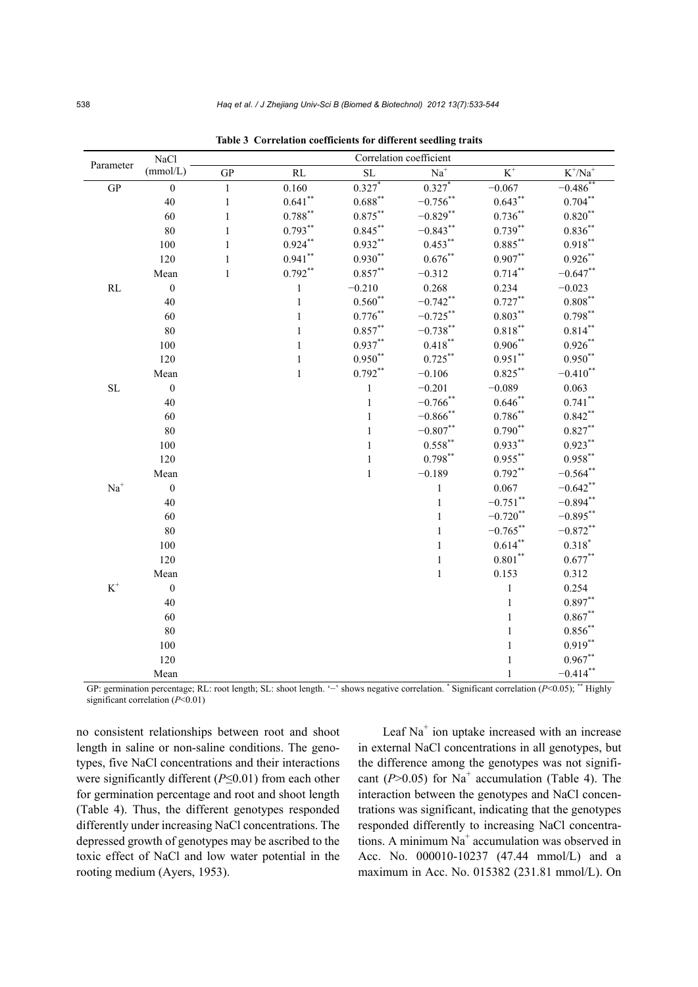| Parameter                  | NaCl             |              |                    | Correlation coefficient |              |                  |                       |  |  |  |  |
|----------------------------|------------------|--------------|--------------------|-------------------------|--------------|------------------|-----------------------|--|--|--|--|
|                            | (mmol/L)         | <b>GP</b>    | RL                 | <b>SL</b>               | $Na+$        | $\overline{K}^+$ | $K^*/\overline{Na^+}$ |  |  |  |  |
| <b>GP</b>                  | $\boldsymbol{0}$ | $\mathbf{1}$ | 0.160              | $0.327*$                | $0.327*$     | $-0.067$         | $-0.486^{**}$         |  |  |  |  |
|                            | 40               | $\mathbf{1}$ | $0.641^{\ast\ast}$ | $0.688***$              | $-0.756$ **  | $0.643**$        | $0.704**$             |  |  |  |  |
|                            | 60               | $\,1$        | $0.788^{**}$       | $0.875***$              | $-0.829**$   | $0.736***$       | $0.820***$            |  |  |  |  |
|                            | 80               | $\,1$        | $0.793**$          | $0.845***$              | $-0.843**$   | $0.739**$        | $0.836**$             |  |  |  |  |
|                            | 100              | $\mathbf{1}$ | $0.924***$         | $0.932**$               | $0.453***$   | $0.885***$       | $0.918***$            |  |  |  |  |
|                            | 120              | $\,1$        | $0.941**$          | $0.930**$               | $0.676***$   | $0.907**$        | $0.926***$            |  |  |  |  |
|                            | Mean             | $\,1$        | $0.792**$          | $0.857***$              | $-0.312$     | $0.714***$       | $-0.647**$            |  |  |  |  |
| $\mathbf{RL}$              | $\boldsymbol{0}$ |              | $\,1$              | $-0.210$                | 0.268        | 0.234            | $-0.023$              |  |  |  |  |
|                            | 40               |              | $\mathbf{1}$       | $0.560**$               | $-0.742$ **  | $0.727**$        | $0.808***$            |  |  |  |  |
|                            | 60               |              | $\,1$              | $0.776***$              | $-0.725***$  | $0.803***$       | $0.798***$            |  |  |  |  |
|                            | 80               |              | $\mathbf{1}$       | $0.857**$               | $-0.738***$  | $0.818***$       | $0.814***$            |  |  |  |  |
|                            | 100              |              | $\mathbf{1}$       | $0.937**$               | $0.418***$   | $0.906***$       | $0.926***$            |  |  |  |  |
|                            | 120              |              | $\mathbf{1}$       | $0.950**$               | $0.725***$   | $0.951**$        | $0.950**$             |  |  |  |  |
|                            | Mean             |              | $\mathbf{1}$       | $0.792**$               | $-0.106$     | $0.825***$       | $-0.410$ **           |  |  |  |  |
| SL                         | $\boldsymbol{0}$ |              |                    | $\mathbf{1}$            | $-0.201$     | $-0.089$         | 0.063                 |  |  |  |  |
|                            | 40               |              |                    | $\,1$                   | $-0.766$ **  | $0.646**$        | $0.741***$            |  |  |  |  |
|                            | 60               |              |                    | $\mathbf{1}$            | $-0.866$ **  | $0.786**$        | $0.842**$             |  |  |  |  |
|                            | 80               |              |                    | $\mathbf{1}$            | $-0.807**$   | $0.790**$        | $0.827***$            |  |  |  |  |
|                            | 100              |              |                    | $\,1$                   | $0.558***$   | $0.933**$        | $0.923***$            |  |  |  |  |
|                            | 120              |              |                    | $\,1$                   | $0.798***$   | $0.955***$       | $0.958***$            |  |  |  |  |
|                            | Mean             |              |                    | $\mathbf{1}$            | $-0.189$     | $0.792**$        | $-0.564$ **           |  |  |  |  |
| $Na+$                      | $\boldsymbol{0}$ |              |                    |                         | $\,1$        | 0.067            | $-0.642$ **           |  |  |  |  |
|                            | 40               |              |                    |                         | $\,1$        | $-0.751$ **      | $-0.894$ **           |  |  |  |  |
|                            | 60               |              |                    |                         | $\,1$        | $-0.720$ **      | $-0.895***$           |  |  |  |  |
|                            | 80               |              |                    |                         | $\,1$        | $-0.765***$      | $-0.872$ **           |  |  |  |  |
|                            | 100              |              |                    |                         | $\mathbf{1}$ | $0.614**$        | $0.318*$              |  |  |  |  |
|                            | 120              |              |                    |                         | $\,1$        | $0.801***$       | $0.677**$             |  |  |  |  |
|                            | Mean             |              |                    |                         | $\mathbf{1}$ | 0.153            | 0.312                 |  |  |  |  |
| $K^{\scriptscriptstyle +}$ | $\boldsymbol{0}$ |              |                    |                         |              | $\mathbf{1}$     | 0.254                 |  |  |  |  |
|                            | 40               |              |                    |                         |              | $\,1$            | $0.897**$             |  |  |  |  |
|                            | 60               |              |                    |                         |              | $\mathbf{1}$     | $0.867**$             |  |  |  |  |
|                            | 80               |              |                    |                         |              | $\mathbf{1}$     | $0.856***$            |  |  |  |  |
|                            | 100              |              |                    |                         |              | $\mathbf{1}$     | $0.919***$            |  |  |  |  |
|                            | 120              |              |                    |                         |              | 1                | $0.967**$             |  |  |  |  |
|                            | Mean             |              |                    |                         |              |                  | $-0.414$ **           |  |  |  |  |

**Table 3 Correlation coefficients for different seedling traits**

GP: germination percentage; RL: root length; SL: shoot length. '−' shows negative correlation. \* Significant correlation (*P*<0.05); \*\* Highly significant correlation (*P*<0.01)

no consistent relationships between root and shoot length in saline or non-saline conditions. The genotypes, five NaCl concentrations and their interactions were significantly different (*P*≤0.01) from each other for germination percentage and root and shoot length (Table 4). Thus, the different genotypes responded differently under increasing NaCl concentrations. The depressed growth of genotypes may be ascribed to the toxic effect of NaCl and low water potential in the rooting medium (Ayers, 1953).

Leaf Na<sup>+</sup> ion uptake increased with an increase in external NaCl concentrations in all genotypes, but the difference among the genotypes was not significant ( $P > 0.05$ ) for Na<sup>+</sup> accumulation (Table 4). The interaction between the genotypes and NaCl concentrations was significant, indicating that the genotypes responded differently to increasing NaCl concentrations. A minimum  $Na<sup>+</sup>$  accumulation was observed in Acc. No. 000010-10237 (47.44 mmol/L) and a maximum in Acc. No. 015382 (231.81 mmol/L). On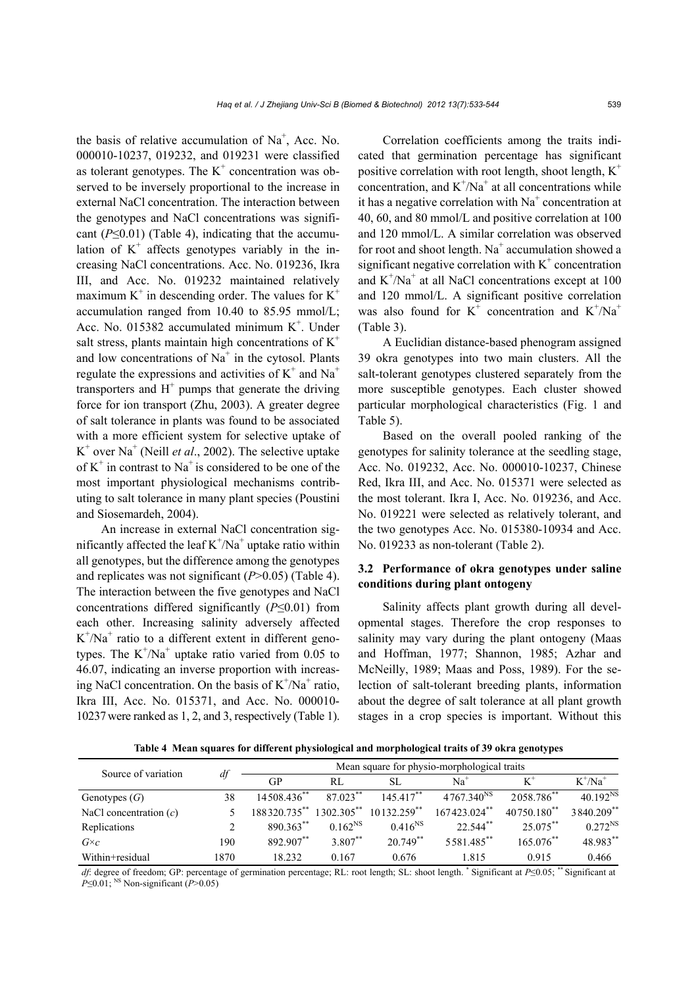the basis of relative accumulation of  $Na<sup>+</sup>$ , Acc. No. 000010-10237, 019232, and 019231 were classified as tolerant genotypes. The  $K^+$  concentration was observed to be inversely proportional to the increase in external NaCl concentration. The interaction between the genotypes and NaCl concentrations was significant  $(P \le 0.01)$  (Table 4), indicating that the accumulation of  $K^+$  affects genotypes variably in the increasing NaCl concentrations. Acc. No. 019236, Ikra III, and Acc. No. 019232 maintained relatively maximum  $K^+$  in descending order. The values for  $K^+$ accumulation ranged from 10.40 to 85.95 mmol/L; Acc. No. 015382 accumulated minimum  $K^+$ . Under salt stress, plants maintain high concentrations of  $K^+$ and low concentrations of  $Na<sup>+</sup>$  in the cytosol. Plants regulate the expressions and activities of  $K^+$  and  $Na^+$ transporters and  $H^+$  pumps that generate the driving force for ion transport (Zhu, 2003). A greater degree of salt tolerance in plants was found to be associated with a more efficient system for selective uptake of  $K^+$  over Na<sup>+</sup> (Neill *et al.*, 2002). The selective uptake of  $K^+$  in contrast to Na<sup>+</sup> is considered to be one of the most important physiological mechanisms contributing to salt tolerance in many plant species (Poustini and Siosemardeh, 2004).

An increase in external NaCl concentration significantly affected the leaf  $K^+/Na^+$  uptake ratio within all genotypes, but the difference among the genotypes and replicates was not significant (*P*>0.05) (Table 4). The interaction between the five genotypes and NaCl concentrations differed significantly (*P*≤0.01) from each other. Increasing salinity adversely affected  $K^+$ /Na<sup>+</sup> ratio to a different extent in different genotypes. The  $K^{+}/Na^{+}$  uptake ratio varied from 0.05 to 46.07, indicating an inverse proportion with increasing NaCl concentration. On the basis of  $K^+/Na^+$  ratio, Ikra III, Acc. No. 015371, and Acc. No. 000010- 10237were ranked as 1, 2, and 3, respectively (Table 1).

Correlation coefficients among the traits indicated that germination percentage has significant positive correlation with root length, shoot length,  $K^+$ concentration, and  $K^+/Na^+$  at all concentrations while it has a negative correlation with  $Na<sup>+</sup>$  concentration at 40, 60, and 80 mmol/L and positive correlation at 100 and 120 mmol/L. A similar correlation was observed for root and shoot length.  $Na<sup>+</sup>$  accumulation showed a significant negative correlation with  $K^+$  concentration and  $K^+/Na^+$  at all NaCl concentrations except at 100 and 120 mmol/L. A significant positive correlation was also found for  $K^+$  concentration and  $K^+ / Na^+$ (Table 3).

A Euclidian distance-based phenogram assigned 39 okra genotypes into two main clusters. All the salt-tolerant genotypes clustered separately from the more susceptible genotypes. Each cluster showed particular morphological characteristics (Fig. 1 and Table 5).

Based on the overall pooled ranking of the genotypes for salinity tolerance at the seedling stage, Acc. No. 019232, Acc. No. 000010-10237, Chinese Red, Ikra III, and Acc. No. 015371 were selected as the most tolerant. Ikra I, Acc. No. 019236, and Acc. No. 019221 were selected as relatively tolerant, and the two genotypes Acc. No. 015380-10934 and Acc. No. 019233 as non-tolerant (Table 2).

## **3.2 Performance of okra genotypes under saline conditions during plant ontogeny**

Salinity affects plant growth during all developmental stages. Therefore the crop responses to salinity may vary during the plant ontogeny (Maas and Hoffman, 1977; Shannon, 1985; Azhar and McNeilly, 1989; Maas and Poss, 1989). For the selection of salt-tolerant breeding plants, information about the degree of salt tolerance at all plant growth stages in a crop species is important. Without this

**Table 4 Mean squares for different physiological and morphological traits of 39 okra genotypes** 

| Source of variation      |      | Mean square for physio-morphological traits |               |                |                        |                           |                      |  |  |  |
|--------------------------|------|---------------------------------------------|---------------|----------------|------------------------|---------------------------|----------------------|--|--|--|
|                          | df   | GP                                          | RL            | SL             | Na <sup>-</sup>        |                           | $K^+/Na^+$           |  |  |  |
| Genotypes $(G)$          | 38   | 14508.436**                                 | $87.023***$   | $145417***$    | 4767.340 <sup>NS</sup> | 2058.786**                | 40.192 <sup>NS</sup> |  |  |  |
| NaCl concentration $(c)$ |      | 188320.735**                                | $1302.305$ ** | $10132.259$ ** | $167423.024$ **        | $40750.180$ <sup>**</sup> | 3840.209**           |  |  |  |
| Replications             |      | 890.363**                                   | $0.162^{NS}$  | $0.416^{NS}$   | 22.544**               | $25.075$ **               | $0.272^{NS}$         |  |  |  |
| $G \times c$             | 190  | 892.907**                                   | 3.807**       | $20.749$ **    | 5581.485**             | $165.076^{**}$            | 48.983**             |  |  |  |
| Within+residual          | 1870 | 18.232                                      | 0.167         | 0.676          | 1.815                  | 0.915                     | 0.466                |  |  |  |

*df*: degree of freedom; GP: percentage of germination percentage; RL: root length; SL: shoot length. \* Significant at *P*≤0.05; \*\* Significant at *P*≤0.01;<sup>NS</sup> Non-significant (*P*>0.05)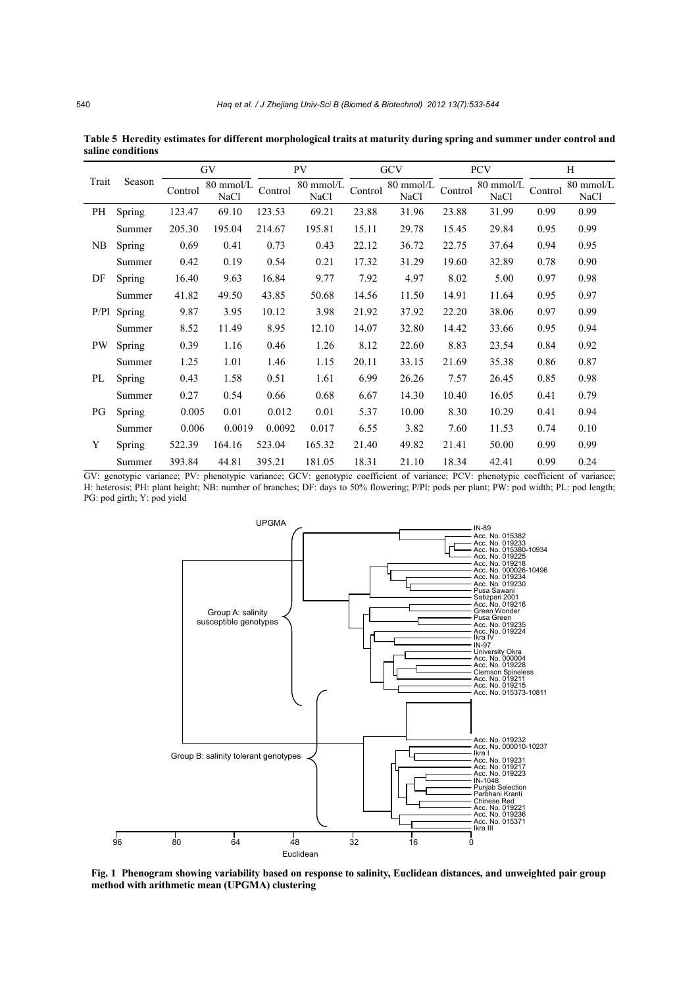|       |        |         | GV                       |         | <b>PV</b>         |         | GCV               |         | <b>PCV</b>        | H       |                          |
|-------|--------|---------|--------------------------|---------|-------------------|---------|-------------------|---------|-------------------|---------|--------------------------|
| Trait | Season | Control | 80 mmol/L<br><b>NaCl</b> | Control | 80 mmol/L<br>NaCl | Control | 80 mmol/L<br>NaCl | Control | 80 mmol/L<br>NaCl | Control | 80 mmol/L<br><b>NaCl</b> |
| PH    | Spring | 123.47  | 69.10                    | 123.53  | 69.21             | 23.88   | 31.96             | 23.88   | 31.99             | 0.99    | 0.99                     |
|       | Summer | 205.30  | 195.04                   | 214.67  | 195.81            | 15.11   | 29.78             | 15.45   | 29.84             | 0.95    | 0.99                     |
| NB    | Spring | 0.69    | 0.41                     | 0.73    | 0.43              | 22.12   | 36.72             | 22.75   | 37.64             | 0.94    | 0.95                     |
|       | Summer | 0.42    | 0.19                     | 0.54    | 0.21              | 17.32   | 31.29             | 19.60   | 32.89             | 0.78    | 0.90                     |
| DF    | Spring | 16.40   | 9.63                     | 16.84   | 9.77              | 7.92    | 4.97              | 8.02    | 5.00              | 0.97    | 0.98                     |
|       | Summer | 41.82   | 49.50                    | 43.85   | 50.68             | 14.56   | 11.50             | 14.91   | 11.64             | 0.95    | 0.97                     |
| P/P1  | Spring | 9.87    | 3.95                     | 10.12   | 3.98              | 21.92   | 37.92             | 22.20   | 38.06             | 0.97    | 0.99                     |
|       | Summer | 8.52    | 11.49                    | 8.95    | 12.10             | 14.07   | 32.80             | 14.42   | 33.66             | 0.95    | 0.94                     |
| PW    | Spring | 0.39    | 1.16                     | 0.46    | 1.26              | 8.12    | 22.60             | 8.83    | 23.54             | 0.84    | 0.92                     |
|       | Summer | 1.25    | 1.01                     | 1.46    | 1.15              | 20.11   | 33.15             | 21.69   | 35.38             | 0.86    | 0.87                     |
| PL    | Spring | 0.43    | 1.58                     | 0.51    | 1.61              | 6.99    | 26.26             | 7.57    | 26.45             | 0.85    | 0.98                     |
|       | Summer | 0.27    | 0.54                     | 0.66    | 0.68              | 6.67    | 14.30             | 10.40   | 16.05             | 0.41    | 0.79                     |
| PG    | Spring | 0.005   | 0.01                     | 0.012   | 0.01              | 5.37    | 10.00             | 8.30    | 10.29             | 0.41    | 0.94                     |
|       | Summer | 0.006   | 0.0019                   | 0.0092  | 0.017             | 6.55    | 3.82              | 7.60    | 11.53             | 0.74    | 0.10                     |
| Y     | Spring | 522.39  | 164.16                   | 523.04  | 165.32            | 21.40   | 49.82             | 21.41   | 50.00             | 0.99    | 0.99                     |
|       | Summer | 393.84  | 44.81                    | 395.21  | 181.05            | 18.31   | 21.10             | 18.34   | 42.41             | 0.99    | 0.24                     |

**Table 5 Heredity estimates for different morphological traits at maturity during spring and summer under control and saline conditions**

GV: genotypic variance; PV: phenotypic variance; GCV: genotypic coefficient of variance; PCV: phenotypic coefficient of variance; H: heterosis; PH: plant height; NB: number of branches; DF: days to 50% flowering; P/Pl: pods per plant; PW: pod width; PL: pod length; PG: pod girth; Y: pod yield



**Fig. 1 Phenogram showing variability based on response to salinity, Euclidean distances, and unweighted pair group method with arithmetic mean (UPGMA) clustering**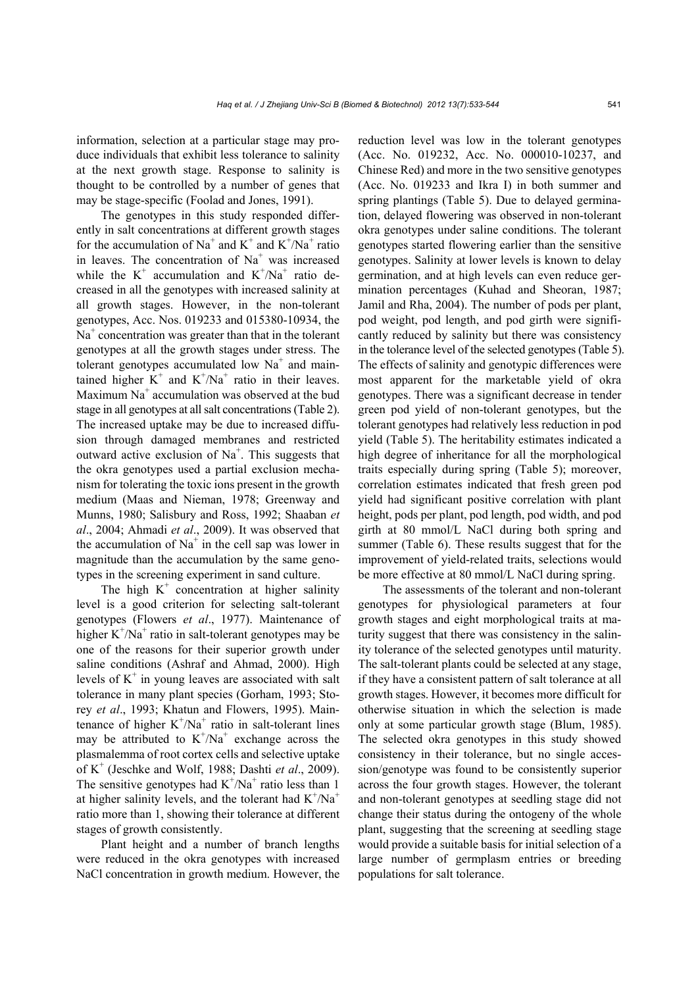information, selection at a particular stage may produce individuals that exhibit less tolerance to salinity at the next growth stage. Response to salinity is thought to be controlled by a number of genes that may be stage-specific (Foolad and Jones, 1991).

The genotypes in this study responded differently in salt concentrations at different growth stages for the accumulation of Na<sup>+</sup> and K<sup>+</sup> and K<sup>+</sup>/Na<sup>+</sup> ratio in leaves. The concentration of Na<sup>+</sup> was increased while the  $K^+$  accumulation and  $K^+/Na^+$  ratio decreased in all the genotypes with increased salinity at all growth stages. However, in the non-tolerant genotypes, Acc. Nos. 019233 and 015380-10934, the Na<sup>+</sup> concentration was greater than that in the tolerant genotypes at all the growth stages under stress. The tolerant genotypes accumulated low  $Na<sup>+</sup>$  and maintained higher  $K^+$  and  $K^+/Na^+$  ratio in their leaves. Maximum  $Na<sup>+</sup>$  accumulation was observed at the bud stage in all genotypes at all salt concentrations (Table 2). The increased uptake may be due to increased diffusion through damaged membranes and restricted outward active exclusion of  $Na^+$ . This suggests that the okra genotypes used a partial exclusion mechanism for tolerating the toxic ions present in the growth medium (Maas and Nieman, 1978; Greenway and Munns, 1980; Salisbury and Ross, 1992; Shaaban *et al*., 2004; Ahmadi *et al*., 2009). It was observed that the accumulation of  $Na<sup>+</sup>$  in the cell sap was lower in magnitude than the accumulation by the same genotypes in the screening experiment in sand culture.

The high  $K^+$  concentration at higher salinity level is a good criterion for selecting salt-tolerant genotypes (Flowers *et al*., 1977). Maintenance of higher  $K^{+}/Na^{+}$  ratio in salt-tolerant genotypes may be one of the reasons for their superior growth under saline conditions (Ashraf and Ahmad, 2000). High levels of  $K^+$  in young leaves are associated with salt tolerance in many plant species (Gorham, 1993; Storey *et al*., 1993; Khatun and Flowers, 1995). Maintenance of higher  $K^{+}/Na^{+}$  ratio in salt-tolerant lines may be attributed to  $K^{+}/Na^{+}$  exchange across the plasmalemma of root cortex cells and selective uptake of K+ (Jeschke and Wolf, 1988; Dashti *et al*., 2009). The sensitive genotypes had  $K^{+}/Na^{+}$  ratio less than 1 at higher salinity levels, and the tolerant had  $K^{+}/Na^{+}$ ratio more than 1, showing their tolerance at different stages of growth consistently.

Plant height and a number of branch lengths were reduced in the okra genotypes with increased NaCl concentration in growth medium. However, the reduction level was low in the tolerant genotypes (Acc. No. 019232, Acc. No. 000010-10237, and Chinese Red) and more in the two sensitive genotypes (Acc. No. 019233 and Ikra I) in both summer and spring plantings (Table 5). Due to delayed germination, delayed flowering was observed in non-tolerant okra genotypes under saline conditions. The tolerant genotypes started flowering earlier than the sensitive genotypes. Salinity at lower levels is known to delay germination, and at high levels can even reduce germination percentages (Kuhad and Sheoran, 1987; Jamil and Rha, 2004). The number of pods per plant, pod weight, pod length, and pod girth were significantly reduced by salinity but there was consistency in the tolerance level of the selected genotypes (Table 5). The effects of salinity and genotypic differences were most apparent for the marketable yield of okra genotypes. There was a significant decrease in tender green pod yield of non-tolerant genotypes, but the tolerant genotypes had relatively less reduction in pod yield (Table 5). The heritability estimates indicated a high degree of inheritance for all the morphological traits especially during spring (Table 5); moreover, correlation estimates indicated that fresh green pod yield had significant positive correlation with plant height, pods per plant, pod length, pod width, and pod girth at 80 mmol/L NaCl during both spring and summer (Table 6). These results suggest that for the improvement of yield-related traits, selections would be more effective at 80 mmol/L NaCl during spring.

The assessments of the tolerant and non-tolerant genotypes for physiological parameters at four growth stages and eight morphological traits at maturity suggest that there was consistency in the salinity tolerance of the selected genotypes until maturity. The salt-tolerant plants could be selected at any stage, if they have a consistent pattern of salt tolerance at all growth stages. However, it becomes more difficult for otherwise situation in which the selection is made only at some particular growth stage (Blum, 1985). The selected okra genotypes in this study showed consistency in their tolerance, but no single accession/genotype was found to be consistently superior across the four growth stages. However, the tolerant and non-tolerant genotypes at seedling stage did not change their status during the ontogeny of the whole plant, suggesting that the screening at seedling stage would provide a suitable basis for initial selection of a large number of germplasm entries or breeding populations for salt tolerance.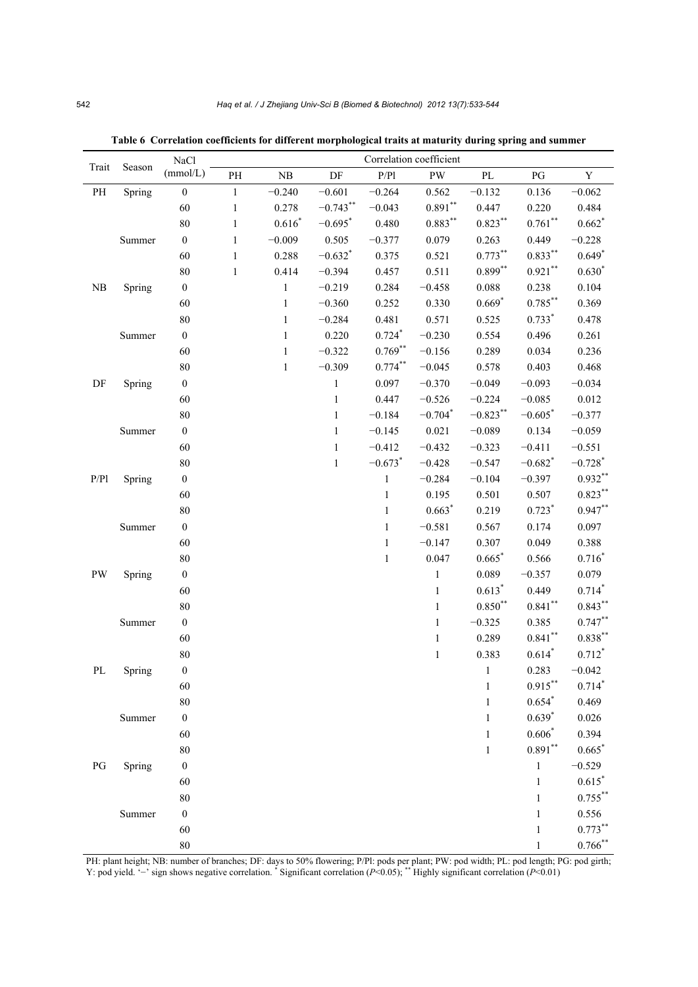| Trait                  | Season | NaCl             | Correlation coefficient |              |                       |                       |              |              |                       |                       |  |  |  |
|------------------------|--------|------------------|-------------------------|--------------|-----------------------|-----------------------|--------------|--------------|-----------------------|-----------------------|--|--|--|
|                        |        | (mmol/L)         | $\rm PH$                | ${\rm NB}$   | $\rm DF$              | P/P1                  | PW           | $\rm PL$     | PG                    | $\mathbf Y$           |  |  |  |
| $\mathbf{PH}$          | Spring | $\mathbf{0}$     | $\mathbf{1}$            | $-0.240$     | $-0.601$              | $-0.264$              | 0.562        | $-0.132$     | 0.136                 | $-0.062$              |  |  |  |
|                        |        | 60               | $\,1\,$                 | 0.278        | $-0.743**$            | $-0.043$              | $0.891***$   | 0.447        | 0.220                 | 0.484                 |  |  |  |
|                        |        | $80\,$           | $\,1\,$                 | $0.616*$     | $-0.695$ <sup>*</sup> | 0.480                 | $0.883***$   | $0.823***$   | $0.761$ **            | $0.662$ <sup>*</sup>  |  |  |  |
|                        | Summer | $\boldsymbol{0}$ | $\mathbf{1}$            | $-0.009$     | 0.505                 | $-0.377$              | 0.079        | 0.263        | 0.449                 | $-0.228$              |  |  |  |
|                        |        | 60               | $\,1\,$                 | 0.288        | $-0.632$ *            | 0.375                 | 0.521        | $0.773**$    | $0.833***$            | $0.649*$              |  |  |  |
|                        |        | 80               | $\,1\,$                 | 0.414        | $-0.394$              | 0.457                 | 0.511        | $0.899**$    | $0.921$ **            | $0.630*$              |  |  |  |
| ${\rm NB}$             | Spring | $\boldsymbol{0}$ |                         | $\,1\,$      | $-0.219$              | 0.284                 | $-0.458$     | 0.088        | 0.238                 | 0.104                 |  |  |  |
|                        |        | 60               |                         | $\mathbf{1}$ | $-0.360$              | 0.252                 | 0.330        | $0.669*$     | $0.785***$            | 0.369                 |  |  |  |
|                        |        | $80\,$           |                         | $\mathbf{1}$ | $-0.284$              | 0.481                 | 0.571        | 0.525        | $0.733*$              | 0.478                 |  |  |  |
|                        | Summer | $\boldsymbol{0}$ |                         | $\,1\,$      | 0.220                 | $0.724$ <sup>*</sup>  | $-0.230$     | 0.554        | 0.496                 | 0.261                 |  |  |  |
|                        |        | 60               |                         | $\,1\,$      | $-0.322$              | $0.769**$             | $-0.156$     | 0.289        | 0.034                 | 0.236                 |  |  |  |
|                        |        | $80\,$           |                         | $\mathbf{1}$ | $-0.309$              | $0.774**$             | $-0.045$     | 0.578        | 0.403                 | 0.468                 |  |  |  |
| DF                     | Spring | $\boldsymbol{0}$ |                         |              | $\mathbf{1}$          | 0.097                 | $-0.370$     | $-0.049$     | $-0.093$              | $-0.034$              |  |  |  |
|                        |        | 60               |                         |              | $\mathbf{1}$          | 0.447                 | $-0.526$     | $-0.224$     | $-0.085$              | 0.012                 |  |  |  |
|                        |        | $80\,$           |                         |              | $\,1$                 | $-0.184$              | $-0.704*$    | $-0.823**$   | $-0.605*$             | $-0.377$              |  |  |  |
|                        | Summer | $\boldsymbol{0}$ |                         |              | $\mathbf{1}$          | $-0.145$              | 0.021        | $-0.089$     | 0.134                 | $-0.059$              |  |  |  |
|                        |        | 60               |                         |              | $\mathbf{1}$          | $-0.412$              | $-0.432$     | $-0.323$     | $-0.411$              | $-0.551$              |  |  |  |
|                        |        | $80\,$           |                         |              | $\,1\,$               | $-0.673$ <sup>*</sup> | $-0.428$     | $-0.547$     | $-0.682$ <sup>*</sup> | $-0.728$ <sup>*</sup> |  |  |  |
| P/P1                   | Spring | $\boldsymbol{0}$ |                         |              |                       | $\,1$                 | $-0.284$     | $-0.104$     | $-0.397$              | $0.932**$             |  |  |  |
|                        |        | 60               |                         |              |                       | $\mathbf{1}$          | 0.195        | 0.501        | 0.507                 | $0.823***$            |  |  |  |
|                        |        | $80\,$           |                         |              |                       | $\,1$                 | $0.663*$     | 0.219        | $0.723*$              | $0.947**$             |  |  |  |
|                        | Summer | $\boldsymbol{0}$ |                         |              |                       | $\,1$                 | $-0.581$     | 0.567        | 0.174                 | 0.097                 |  |  |  |
|                        |        | 60               |                         |              |                       | $\mathbf{1}$          | $-0.147$     | 0.307        | 0.049                 | 0.388                 |  |  |  |
|                        |        | $80\,$           |                         |              |                       | $\,1$                 | 0.047        | $0.665*$     | 0.566                 | $0.716*$              |  |  |  |
| PW                     | Spring | $\boldsymbol{0}$ |                         |              |                       |                       | $\mathbf{1}$ | 0.089        | $-0.357$              | 0.079                 |  |  |  |
|                        |        | 60               |                         |              |                       |                       | $\,1$        | $0.613*$     | 0.449                 | $0.714*$              |  |  |  |
|                        |        | $80\,$           |                         |              |                       |                       | $\mathbf{1}$ | $0.850**$    | $0.841$ **            | $0.843***$            |  |  |  |
|                        | Summer | $\boldsymbol{0}$ |                         |              |                       |                       | $\mathbf{1}$ | $-0.325$     | 0.385                 | $0.747**$             |  |  |  |
|                        |        | 60               |                         |              |                       |                       | $\mathbf{1}$ | 0.289        | $0.841$ **            | $0.838***$            |  |  |  |
|                        |        | $80\,$           |                         |              |                       |                       | $\mathbf{1}$ | 0.383        | $0.614*$              | $0.712*$              |  |  |  |
| $\mathbf{P}\mathbf{L}$ | Spring | $\boldsymbol{0}$ |                         |              |                       |                       |              | $\mathbf{1}$ | 0.283                 | $-0.042$              |  |  |  |
|                        |        | 60               |                         |              |                       |                       |              | $\mathbf{1}$ | $0.915***$            | 0.714                 |  |  |  |
|                        |        | $80\,$           |                         |              |                       |                       |              | $\mathbf{1}$ | $0.654*$              | 0.469                 |  |  |  |
|                        | Summer | $\boldsymbol{0}$ |                         |              |                       |                       |              | 1            | $0.639*$              | 0.026                 |  |  |  |
|                        |        | 60               |                         |              |                       |                       |              | 1            | $0.606*$              | 0.394                 |  |  |  |
|                        |        | 80               |                         |              |                       |                       |              | $\mathbf{1}$ | $0.891**$             | $0.665*$              |  |  |  |
| $\mathbf{P}\mathbf{G}$ | Spring | $\boldsymbol{0}$ |                         |              |                       |                       |              |              | $\,1$                 | $-0.529$              |  |  |  |
|                        |        | 60               |                         |              |                       |                       |              |              | $\mathbf{1}$          | $0.615*$              |  |  |  |
|                        |        | 80               |                         |              |                       |                       |              |              | $\mathbf{1}$          | $0.755$ **            |  |  |  |
|                        | Summer | $\boldsymbol{0}$ |                         |              |                       |                       |              |              | $\,1$                 | 0.556                 |  |  |  |
|                        |        | 60               |                         |              |                       |                       |              |              | $\mathbf{1}$          | $0.773**$             |  |  |  |
|                        |        | $80\,$           |                         |              |                       |                       |              |              | $\mathbf{1}$          | $0.766$ **            |  |  |  |

**Table 6 Correlation coefficients for different morphological traits at maturity during spring and summer** 

PH: plant height; NB: number of branches; DF: days to 50% flowering; P/Pl: pods per plant; PW: pod width; PL: pod length; PG: pod girth; Y: pod yield. '−' sign shows negative correlation. \* Significant correlation (*P*<0.05); \*\* Highly significant correlation (*P*<0.01)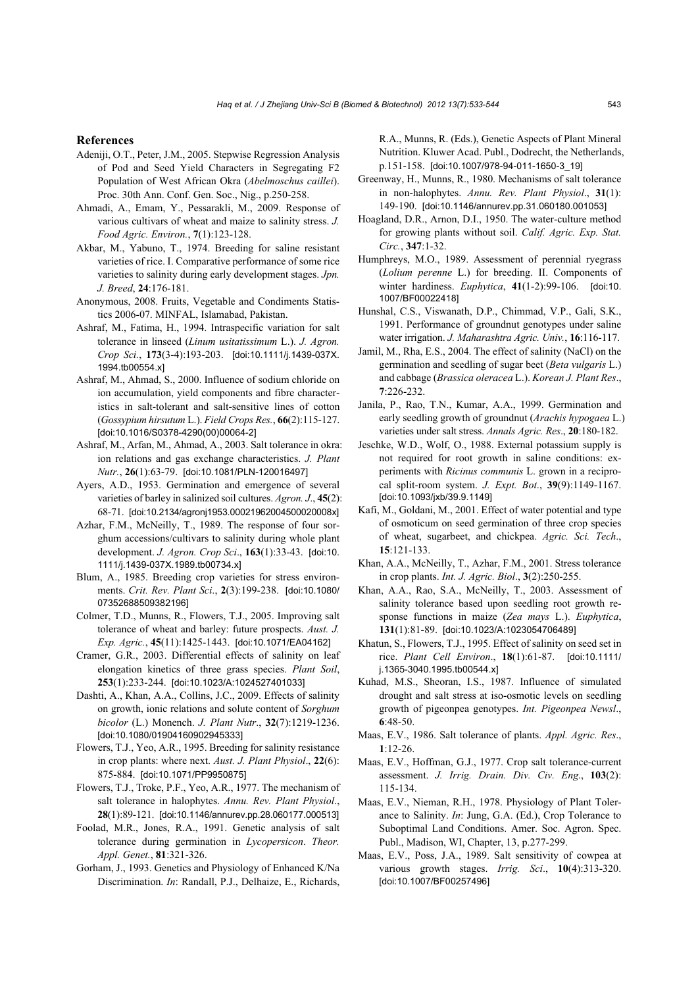#### **References**

- Adeniji, O.T., Peter, J.M., 2005. Stepwise Regression Analysis of Pod and Seed Yield Characters in Segregating F2 Population of West African Okra (*Abelmoschus caillei*). Proc. 30th Ann. Conf. Gen. Soc., Nig., p.250-258.
- Ahmadi, A., Emam, Y., Pessarakli, M., 2009. Response of various cultivars of wheat and maize to salinity stress. *J. Food Agric. Environ.*, **7**(1):123-128.
- Akbar, M., Yabuno, T., 1974. Breeding for saline resistant varieties of rice. I. Comparative performance of some rice varieties to salinity during early development stages. *Jpn. J. Breed*, **24**:176-181.
- Anonymous, 2008. Fruits, Vegetable and Condiments Statistics 2006-07. MINFAL, Islamabad, Pakistan.
- Ashraf, M., Fatima, H., 1994. Intraspecific variation for salt tolerance in linseed (*Linum usitatissimum* L.). *J. Agron. Crop Sci.*, **173**(3-4):193-203. [doi:10.1111/j.1439-037X. 1994.tb00554.x]
- Ashraf, M., Ahmad, S., 2000. Influence of sodium chloride on ion accumulation, yield components and fibre characteristics in salt-tolerant and salt-sensitive lines of cotton (*Gossypium hirsutum* L.). *Field Crops Res.*, **66**(2):115-127. [doi:10.1016/S0378-4290(00)00064-2]
- Ashraf, M., Arfan, M., Ahmad, A., 2003. Salt tolerance in okra: ion relations and gas exchange characteristics. *J. Plant Nutr.*, **26**(1):63-79. [doi:10.1081/PLN-120016497]
- Ayers, A.D., 1953. Germination and emergence of several varieties of barley in salinized soil cultures. *Agron. J*., **45**(2): 68-71. [doi:10.2134/agronj1953.00021962004500020008x]
- Azhar, F.M., McNeilly, T., 1989. The response of four sorghum accessions/cultivars to salinity during whole plant development. *J. Agron. Crop Sci*., **163**(1):33-43. [doi:10. 1111/j.1439-037X.1989.tb00734.x]
- Blum, A., 1985. Breeding crop varieties for stress environments. *Crit. Rev. Plant Sci*., **2**(3):199-238. [doi:10.1080/ 07352688509382196]
- Colmer, T.D., Munns, R., Flowers, T.J., 2005. Improving salt tolerance of wheat and barley: future prospects. *Aust. J. Exp. Agric.*, **45**(11):1425-1443. [doi:10.1071/EA04162]
- Cramer, G.R., 2003. Differential effects of salinity on leaf elongation kinetics of three grass species. *Plant Soil*, **253**(1):233-244. [doi:10.1023/A:1024527401033]
- Dashti, A., Khan, A.A., Collins, J.C., 2009. Effects of salinity on growth, ionic relations and solute content of *Sorghum bicolor* (L.) Monench. *J. Plant Nutr*., **32**(7):1219-1236. [doi:10.1080/01904160902945333]
- Flowers, T.J., Yeo, A.R., 1995. Breeding for salinity resistance in crop plants: where next. *Aust. J. Plant Physiol*., **22**(6): 875-884. [doi:10.1071/PP9950875]
- Flowers, T.J., Troke, P.F., Yeo, A.R., 1977. The mechanism of salt tolerance in halophytes. *Annu. Rev. Plant Physiol*., **28**(1):89-121. [doi:10.1146/annurev.pp.28.060177.000513]
- Foolad, M.R., Jones, R.A., 1991. Genetic analysis of salt tolerance during germination in *Lycopersicon*. *Theor. Appl. Genet.*, **81**:321-326.
- Gorham, J., 1993. Genetics and Physiology of Enhanced K/Na Discrimination. *In*: Randall, P.J., Delhaize, E., Richards,

R.A., Munns, R. (Eds.), Genetic Aspects of Plant Mineral Nutrition. Kluwer Acad. Publ., Dodrecht, the Netherlands, p.151-158. [doi:10.1007/978-94-011-1650-3\_19]

- Greenway, H., Munns, R., 1980. Mechanisms of salt tolerance in non-halophytes. *Annu. Rev. Plant Physiol*., **31**(1): 149-190. [doi:10.1146/annurev.pp.31.060180.001053]
- Hoagland, D.R., Arnon, D.I., 1950. The water-culture method for growing plants without soil. *Calif. Agric. Exp. Stat. Circ.*, **347**:1-32.
- Humphreys, M.O., 1989. Assessment of perennial ryegrass (*Lolium perenne* L.) for breeding. II. Components of winter hardiness. *Euphytica*, **41**(1-2):99-106. [doi:10. 1007/BF00022418]
- Hunshal, C.S., Viswanath, D.P., Chimmad, V.P., Gali, S.K., 1991. Performance of groundnut genotypes under saline water irrigation. *J. Maharashtra Agric. Univ.*, **16**:116-117.
- Jamil, M., Rha, E.S., 2004. The effect of salinity (NaCl) on the germination and seedling of sugar beet (*Beta vulgaris* L.) and cabbage (*Brassica oleracea* L.). *Korean J. Plant Res*., **7**:226-232.
- Janila, P., Rao, T.N., Kumar, A.A., 1999. Germination and early seedling growth of groundnut (*Arachis hypogaea* L.) varieties under salt stress. *Annals Agric. Res*., **20**:180-182.
- Jeschke, W.D., Wolf, O., 1988. External potassium supply is not required for root growth in saline conditions: experiments with *Ricinus communis* L. grown in a reciprocal split-room system. *J. Expt. Bot*., **39**(9):1149-1167. [doi:10.1093/jxb/39.9.1149]
- Kafi, M., Goldani, M., 2001. Effect of water potential and type of osmoticum on seed germination of three crop species of wheat, sugarbeet, and chickpea. *Agric. Sci. Tech*., **15**:121-133.
- Khan, A.A., McNeilly, T., Azhar, F.M., 2001. Stress tolerance in crop plants. *Int. J. Agric. Biol*., **3**(2):250-255.
- Khan, A.A., Rao, S.A., McNeilly, T., 2003. Assessment of salinity tolerance based upon seedling root growth response functions in maize (*Zea mays* L.). *Euphytica*, **131**(1):81-89. [doi:10.1023/A:1023054706489]
- Khatun, S., Flowers, T.J., 1995. Effect of salinity on seed set in rice. *Plant Cell Environ*., **18**(1):61-87. [doi:10.1111/ j.1365-3040.1995.tb00544.x]
- Kuhad, M.S., Sheoran, I.S., 1987. Influence of simulated drought and salt stress at iso-osmotic levels on seedling growth of pigeonpea genotypes. *Int. Pigeonpea Newsl*., **6**:48-50.
- Maas, E.V., 1986. Salt tolerance of plants. *Appl. Agric. Res*., **1**:12-26.
- Maas, E.V., Hoffman, G.J., 1977. Crop salt tolerance-current assessment. *J. Irrig. Drain. Div. Civ. Eng*., **103**(2): 115-134.
- Maas, E.V., Nieman, R.H., 1978. Physiology of Plant Tolerance to Salinity. *In*: Jung, G.A. (Ed.), Crop Tolerance to Suboptimal Land Conditions. Amer. Soc. Agron. Spec. Publ., Madison, WI, Chapter, 13, p.277-299.
- Maas, E.V., Poss, J.A., 1989. Salt sensitivity of cowpea at various growth stages. *Irrig. Sci*., **10**(4):313-320. [doi:10.1007/BF00257496]